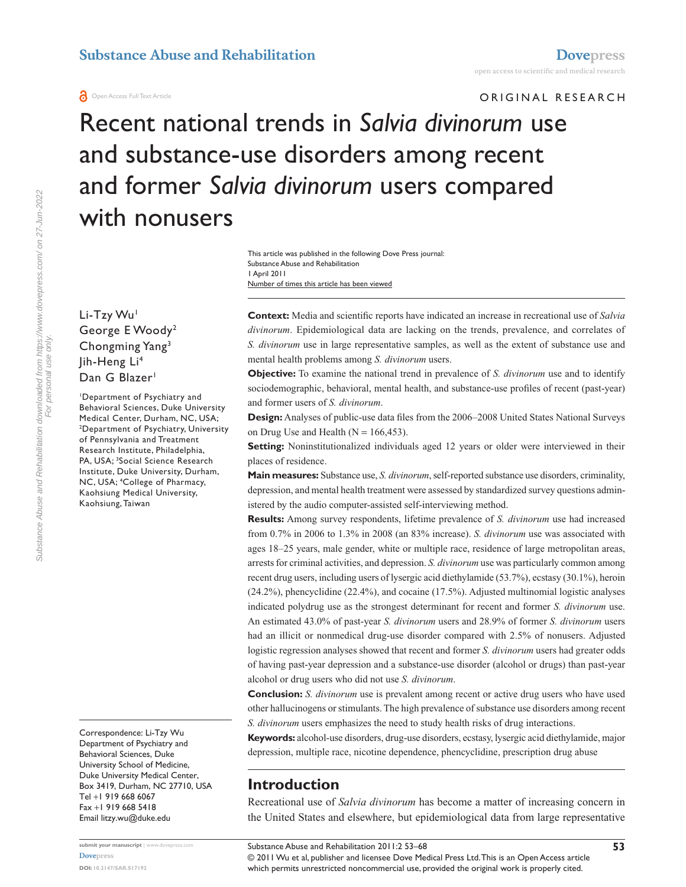ORIGINAL RESEARCH

# Recent national trends in *Salvia divinorum* use and substance-use disorders among recent and former *Salvia divinorum* users compared with nonusers

Number of times this article has been viewed This article was published in the following Dove Press journal: Substance Abuse and Rehabilitation 1 April 2011

Li-Tzy Wu<sup>1</sup> George E Woody2 Chongming Yang3 Jih-Heng Li4 Dan G Blazer<sup>1</sup>

1 Department of Psychiatry and Behavioral Sciences, Duke University Medical Center, Durham, NC, USA; 2 Department of Psychiatry, University of Pennsylvania and Treatment Research Institute, Philadelphia, PA, USA; <sup>3</sup>Social Science Research Institute, Duke University, Durham, NC, USA; 4 College of Pharmacy, Kaohsiung Medical University, Kaohsiung, Taiwan

Correspondence: Li-Tzy Wu Department of Psychiatry and Behavioral Sciences, Duke University School of Medicine, Duke University Medical Center, Box 3419, Durham, NC 27710, USA Tel +1 919 668 6067 Fax +1 919 668 5418 Email [litzy.wu@duke.edu](mailto:litzy.wu@duke.edu)

**Context:** Media and scientific reports have indicated an increase in recreational use of *Salvia divinorum*. Epidemiological data are lacking on the trends, prevalence, and correlates of *S. divinorum* use in large representative samples, as well as the extent of substance use and mental health problems among *S. divinorum* users.

**Objective:** To examine the national trend in prevalence of *S. divinorum* use and to identify sociodemographic, behavioral, mental health, and substance-use profiles of recent (past-year) and former users of *S. divinorum*.

**Design:** Analyses of public-use data files from the 2006–2008 United States National Surveys on Drug Use and Health ( $N = 166,453$ ).

**Setting:** Noninstitutionalized individuals aged 12 years or older were interviewed in their places of residence.

**Main measures:** Substance use, *S. divinorum*, self-reported substance use disorders, criminality, depression, and mental health treatment were assessed by standardized survey questions administered by the audio computer-assisted self-interviewing method.

**Results:** Among survey respondents, lifetime prevalence of *S. divinorum* use had increased from 0.7% in 2006 to 1.3% in 2008 (an 83% increase). *S. divinorum* use was associated with ages 18–25 years, male gender, white or multiple race, residence of large metropolitan areas, arrests for criminal activities, and depression. *S. divinorum* use was particularly common among recent drug users, including users of lysergic acid diethylamide (53.7%), ecstasy (30.1%), heroin (24.2%), phencyclidine (22.4%), and cocaine (17.5%). Adjusted multinomial logistic analyses indicated polydrug use as the strongest determinant for recent and former *S. divinorum* use. An estimated 43.0% of past-year *S. divinorum* users and 28.9% of former *S. divinorum* users had an illicit or nonmedical drug-use disorder compared with 2.5% of nonusers. Adjusted logistic regression analyses showed that recent and former *S. divinorum* users had greater odds of having past-year depression and a substance-use disorder (alcohol or drugs) than past-year alcohol or drug users who did not use *S. divinorum*.

**Conclusion:** *S. divinorum* use is prevalent among recent or active drug users who have used other hallucinogens or stimulants. The high prevalence of substance use disorders among recent *S. divinorum* users emphasizes the need to study health risks of drug interactions.

**Keywords:** alcohol-use disorders, drug-use disorders, ecstasy, lysergic acid diethylamide, major depression, multiple race, nicotine dependence, phencyclidine, prescription drug abuse

# **Introduction**

Recreational use of *Salvia divinorum* has become a matter of increasing concern in the United States and elsewhere, but epidemiological data from large representative

© 2011 Wu et al, publisher and licensee Dove Medical Press Ltd. This is an Open Access article which permits unrestricted noncommercial use, provided the original work is properly cited.

Substance Abuse and Rehabilitation 2011:2 53–68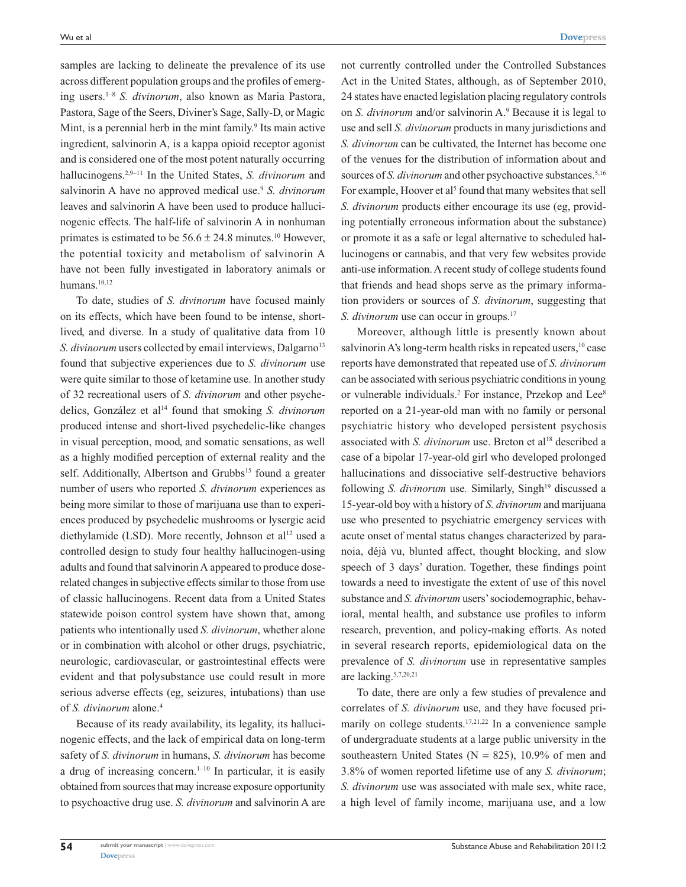samples are lacking to delineate the prevalence of its use across different population groups and the profiles of emerging users.1–8 *S. divinorum*, also known as Maria Pastora, Pastora, Sage of the Seers, Diviner's Sage, Sally-D, or Magic Mint, is a perennial herb in the mint family.<sup>9</sup> Its main active ingredient, salvinorin A, is a kappa opioid receptor agonist and is considered one of the most potent naturally occurring hallucinogens.2,9–11 In the United States, *S. divinorum* and salvinorin A have no approved medical use.9 *S. divinorum* leaves and salvinorin A have been used to produce hallucinogenic effects. The half-life of salvinorin A in nonhuman primates is estimated to be  $56.6 \pm 24.8$  minutes.<sup>10</sup> However, the potential toxicity and metabolism of salvinorin A have not been fully investigated in laboratory animals or humans.<sup>10,12</sup>

To date, studies of *S. divinorum* have focused mainly on its effects, which have been found to be intense, shortlived, and diverse. In a study of qualitative data from 10 *S. divinorum* users collected by email interviews, Dalgarno<sup>13</sup> found that subjective experiences due to *S. divinorum* use were quite similar to those of ketamine use. In another study of 32 recreational users of *S. divinorum* and other psychedelics, González et al14 found that smoking *S. divinorum* produced intense and short-lived psychedelic-like changes in visual perception, mood, and somatic sensations, as well as a highly modified perception of external reality and the self. Additionally, Albertson and Grubbs<sup>15</sup> found a greater number of users who reported *S. divinorum* experiences as being more similar to those of marijuana use than to experiences produced by psychedelic mushrooms or lysergic acid diethylamide (LSD). More recently, Johnson et al<sup>12</sup> used a controlled design to study four healthy hallucinogen-using adults and found that salvinorin A appeared to produce doserelated changes in subjective effects similar to those from use of classic hallucinogens. Recent data from a United States statewide poison control system have shown that, among patients who intentionally used *S. divinorum*, whether alone or in combination with alcohol or other drugs, psychiatric, neurologic, cardiovascular, or gastrointestinal effects were evident and that polysubstance use could result in more serious adverse effects (eg, seizures, intubations) than use of *S. divinorum* alone.4

Because of its ready availability, its legality, its hallucinogenic effects, and the lack of empirical data on long-term safety of *S. divinorum* in humans, *S. divinorum* has become a drug of increasing concern. $1-10$  In particular, it is easily obtained from sources that may increase exposure opportunity to psychoactive drug use. *S. divinorum* and salvinorin A are not currently controlled under the Controlled Substances Act in the United States, although, as of September 2010, 24 states have enacted legislation placing regulatory controls on *S. divinorum* and/or salvinorin A.9 Because it is legal to use and sell *S. divinorum* products in many jurisdictions and *S. divinorum* can be cultivated, the Internet has become one of the venues for the distribution of information about and sources of *S. divinorum* and other psychoactive substances.<sup>5,16</sup> For example, Hoover et al<sup>5</sup> found that many websites that sell *S. divinorum* products either encourage its use (eg, providing potentially erroneous information about the substance) or promote it as a safe or legal alternative to scheduled hallucinogens or cannabis, and that very few websites provide anti-use information. A recent study of college students found that friends and head shops serve as the primary information providers or sources of *S. divinorum*, suggesting that *S. divinorum* use can occur in groups.<sup>17</sup>

Moreover, although little is presently known about salvinorin A's long-term health risks in repeated users,<sup>10</sup> case reports have demonstrated that repeated use of *S. divinorum* can be associated with serious psychiatric conditions in young or vulnerable individuals.<sup>2</sup> For instance, Przekop and Lee<sup>8</sup> reported on a 21-year-old man with no family or personal psychiatric history who developed persistent psychosis associated with *S. divinorum* use. Breton et al<sup>18</sup> described a case of a bipolar 17-year-old girl who developed prolonged hallucinations and dissociative self-destructive behaviors following *S. divinorum* use. Similarly, Singh<sup>19</sup> discussed a 15-year-old boy with a history of *S. divinorum* and marijuana use who presented to psychiatric emergency services with acute onset of mental status changes characterized by paranoia, déjà vu, blunted affect, thought blocking, and slow speech of 3 days' duration. Together, these findings point towards a need to investigate the extent of use of this novel substance and *S. divinorum* users' sociodemographic, behavioral, mental health, and substance use profiles to inform research, prevention, and policy-making efforts. As noted in several research reports, epidemiological data on the prevalence of *S. divinorum* use in representative samples are lacking.5,7,20,21

To date, there are only a few studies of prevalence and correlates of *S. divinorum* use, and they have focused primarily on college students.<sup>17,21,22</sup> In a convenience sample of undergraduate students at a large public university in the southeastern United States ( $N = 825$ ), 10.9% of men and 3.8% of women reported lifetime use of any *S. divinorum*; *S. divinorum* use was associated with male sex, white race, a high level of family income, marijuana use, and a low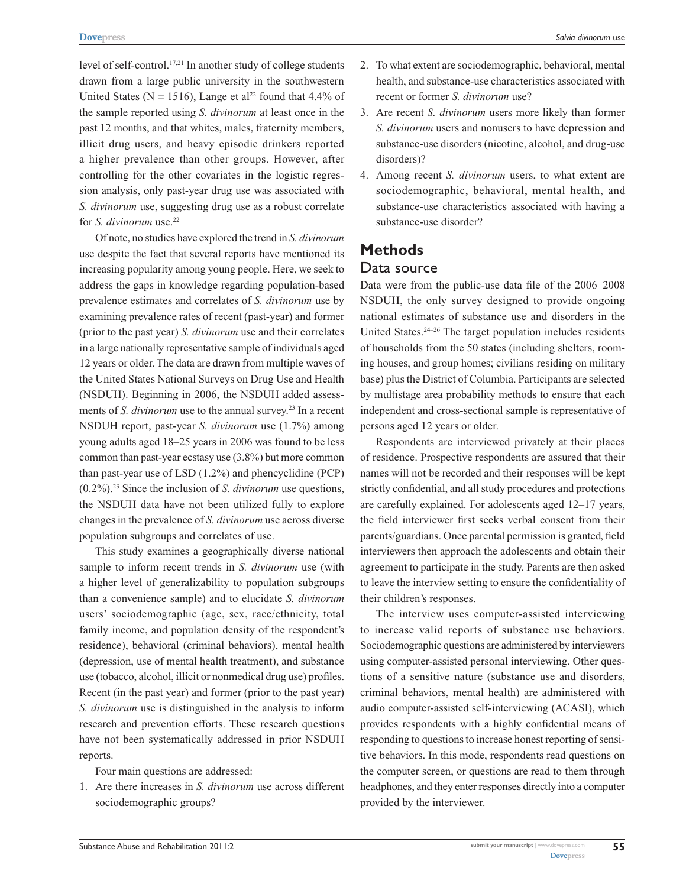level of self-control.17,21 In another study of college students drawn from a large public university in the southwestern United States ( $N = 1516$ ), Lange et al<sup>22</sup> found that 4.4% of the sample reported using *S. divinorum* at least once in the past 12 months, and that whites, males, fraternity members, illicit drug users, and heavy episodic drinkers reported a higher prevalence than other groups. However, after controlling for the other covariates in the logistic regression analysis, only past-year drug use was associated with *S. divinorum* use, suggesting drug use as a robust correlate for *S. divinorum* use.<sup>22</sup>

Of note, no studies have explored the trend in *S. divinorum* use despite the fact that several reports have mentioned its increasing popularity among young people. Here, we seek to address the gaps in knowledge regarding population-based prevalence estimates and correlates of *S. divinorum* use by examining prevalence rates of recent (past-year) and former (prior to the past year) *S. divinorum* use and their correlates in a large nationally representative sample of individuals aged 12 years or older. The data are drawn from multiple waves of the United States National Surveys on Drug Use and Health (NSDUH). Beginning in 2006, the NSDUH added assessments of *S. divinorum* use to the annual survey.<sup>23</sup> In a recent NSDUH report, past-year *S. divinorum* use (1.7%) among young adults aged 18–25 years in 2006 was found to be less common than past-year ecstasy use (3.8%) but more common than past-year use of LSD (1.2%) and phencyclidine (PCP) (0.2%).23 Since the inclusion of *S. divinorum* use questions, the NSDUH data have not been utilized fully to explore changes in the prevalence of *S. divinorum* use across diverse population subgroups and correlates of use.

This study examines a geographically diverse national sample to inform recent trends in *S. divinorum* use (with a higher level of generalizability to population subgroups than a convenience sample) and to elucidate *S. divinorum* users' sociodemographic (age, sex, race/ethnicity, total family income, and population density of the respondent's residence), behavioral (criminal behaviors), mental health (depression, use of mental health treatment), and substance use (tobacco, alcohol, illicit or nonmedical drug use) profiles. Recent (in the past year) and former (prior to the past year) *S. divinorum* use is distinguished in the analysis to inform research and prevention efforts. These research questions have not been systematically addressed in prior NSDUH reports.

Four main questions are addressed:

1. Are there increases in *S. divinorum* use across different sociodemographic groups?

- 2. To what extent are sociodemographic, behavioral, mental health, and substance-use characteristics associated with recent or former *S. divinorum* use?
- 3. Are recent *S. divinorum* users more likely than former *S. divinorum* users and nonusers to have depression and substance-use disorders (nicotine, alcohol, and drug-use disorders)?
- 4. Among recent *S. divinorum* users, to what extent are sociodemographic, behavioral, mental health, and substance-use characteristics associated with having a substance-use disorder?

### **Methods**

#### Data source

Data were from the public-use data file of the 2006–2008 NSDUH, the only survey designed to provide ongoing national estimates of substance use and disorders in the United States.24–26 The target population includes residents of households from the 50 states (including shelters, rooming houses, and group homes; civilians residing on military base) plus the District of Columbia. Participants are selected by multistage area probability methods to ensure that each independent and cross-sectional sample is representative of persons aged 12 years or older.

Respondents are interviewed privately at their places of residence. Prospective respondents are assured that their names will not be recorded and their responses will be kept strictly confidential, and all study procedures and protections are carefully explained. For adolescents aged 12–17 years, the field interviewer first seeks verbal consent from their parents/guardians. Once parental permission is granted, field interviewers then approach the adolescents and obtain their agreement to participate in the study. Parents are then asked to leave the interview setting to ensure the confidentiality of their children's responses.

The interview uses computer-assisted interviewing to increase valid reports of substance use behaviors. Sociodemographic questions are administered by interviewers using computer-assisted personal interviewing. Other questions of a sensitive nature (substance use and disorders, criminal behaviors, mental health) are administered with audio computer-assisted self-interviewing (ACASI), which provides respondents with a highly confidential means of responding to questions to increase honest reporting of sensitive behaviors. In this mode, respondents read questions on the computer screen, or questions are read to them through headphones, and they enter responses directly into a computer provided by the interviewer.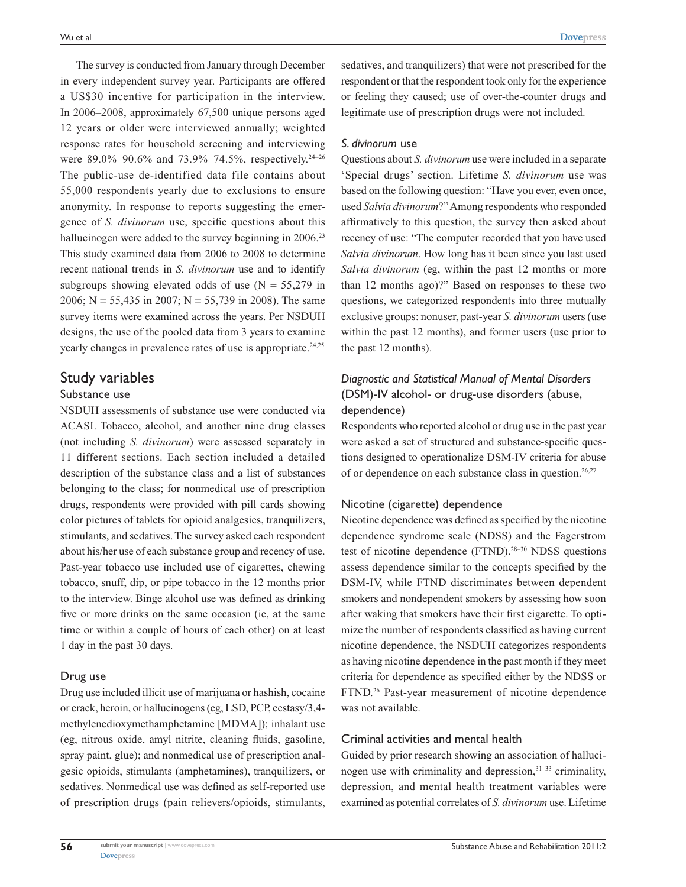The survey is conducted from January through December in every independent survey year. Participants are offered a US\$30 incentive for participation in the interview. In 2006–2008, approximately 67,500 unique persons aged 12 years or older were interviewed annually; weighted response rates for household screening and interviewing were 89.0%–90.6% and 73.9%–74.5%, respectively.<sup>24-26</sup> The public-use de-identified data file contains about 55,000 respondents yearly due to exclusions to ensure anonymity. In response to reports suggesting the emergence of *S. divinorum* use, specific questions about this hallucinogen were added to the survey beginning in 2006.<sup>23</sup> This study examined data from 2006 to 2008 to determine recent national trends in *S. divinorum* use and to identify subgroups showing elevated odds of use  $(N = 55,279)$  in 2006; N = 55,435 in 2007; N = 55,739 in 2008). The same survey items were examined across the years. Per NSDUH designs, the use of the pooled data from 3 years to examine yearly changes in prevalence rates of use is appropriate.<sup>24,25</sup>

### Study variables

#### Substance use

NSDUH assessments of substance use were conducted via ACASI. Tobacco, alcohol, and another nine drug classes (not including *S. divinorum*) were assessed separately in 11 different sections. Each section included a detailed description of the substance class and a list of substances belonging to the class; for nonmedical use of prescription drugs, respondents were provided with pill cards showing color pictures of tablets for opioid analgesics, tranquilizers, stimulants, and sedatives. The survey asked each respondent about his/her use of each substance group and recency of use. Past-year tobacco use included use of cigarettes, chewing tobacco, snuff, dip, or pipe tobacco in the 12 months prior to the interview. Binge alcohol use was defined as drinking five or more drinks on the same occasion (ie, at the same time or within a couple of hours of each other) on at least 1 day in the past 30 days.

#### Drug use

**56**

Drug use included illicit use of marijuana or hashish, cocaine or crack, heroin, or hallucinogens (eg, LSD, PCP, ecstasy/3,4 methylenedioxymethamphetamine [MDMA]); inhalant use (eg, nitrous oxide, amyl nitrite, cleaning fluids, gasoline, spray paint, glue); and nonmedical use of prescription analgesic opioids, stimulants (amphetamines), tranquilizers, or sedatives. Nonmedical use was defined as self-reported use of prescription drugs (pain relievers/opioids, stimulants,

sedatives, and tranquilizers) that were not prescribed for the respondent or that the respondent took only for the experience or feeling they caused; use of over-the-counter drugs and legitimate use of prescription drugs were not included.

#### *S. divinorum* use

Questions about *S. divinorum* use were included in a separate 'Special drugs' section. Lifetime *S. divinorum* use was based on the following question: "Have you ever, even once, used *Salvia divinorum*?" Among respondents who responded affirmatively to this question, the survey then asked about recency of use: "The computer recorded that you have used *Salvia divinorum*. How long has it been since you last used *Salvia divinorum* (eg, within the past 12 months or more than 12 months ago)?" Based on responses to these two questions, we categorized respondents into three mutually exclusive groups: nonuser, past-year *S. divinorum* users (use within the past 12 months), and former users (use prior to the past 12 months).

### *Diagnostic and Statistical Manual of Mental Disorders* (DSM)-IV alcohol- or drug-use disorders (abuse, dependence)

Respondents who reported alcohol or drug use in the past year were asked a set of structured and substance-specific questions designed to operationalize DSM-IV criteria for abuse of or dependence on each substance class in question.<sup>26,27</sup>

#### Nicotine (cigarette) dependence

Nicotine dependence was defined as specified by the nicotine dependence syndrome scale (NDSS) and the Fagerstrom test of nicotine dependence  $(FTND)$ .<sup>28–30</sup> NDSS questions assess dependence similar to the concepts specified by the DSM-IV, while FTND discriminates between dependent smokers and nondependent smokers by assessing how soon after waking that smokers have their first cigarette. To optimize the number of respondents classified as having current nicotine dependence, the NSDUH categorizes respondents as having nicotine dependence in the past month if they meet criteria for dependence as specified either by the NDSS or FTND.26 Past-year measurement of nicotine dependence was not available.

#### Criminal activities and mental health

Guided by prior research showing an association of hallucinogen use with criminality and depression, $31-33$  criminality, depression, and mental health treatment variables were examined as potential correlates of *S. divinorum* use. Lifetime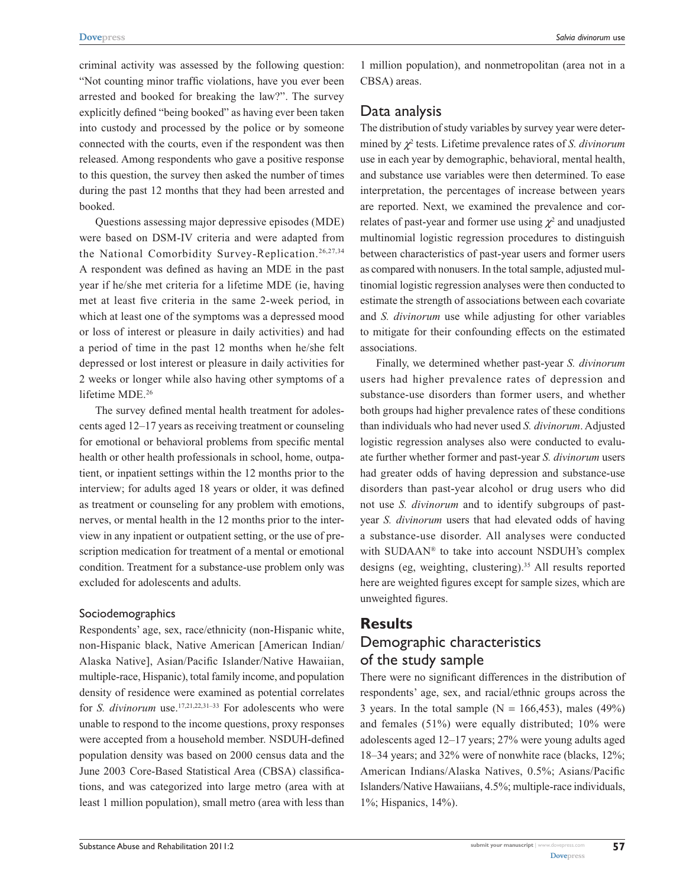*Salvia divinorum* use

criminal activity was assessed by the following question: "Not counting minor traffic violations, have you ever been arrested and booked for breaking the law?". The survey explicitly defined "being booked" as having ever been taken into custody and processed by the police or by someone connected with the courts, even if the respondent was then released. Among respondents who gave a positive response to this question, the survey then asked the number of times during the past 12 months that they had been arrested and booked.

Questions assessing major depressive episodes (MDE) were based on DSM-IV criteria and were adapted from the National Comorbidity Survey-Replication.<sup>26,27,34</sup> A respondent was defined as having an MDE in the past year if he/she met criteria for a lifetime MDE (ie, having met at least five criteria in the same 2-week period, in which at least one of the symptoms was a depressed mood or loss of interest or pleasure in daily activities) and had a period of time in the past 12 months when he/she felt depressed or lost interest or pleasure in daily activities for 2 weeks or longer while also having other symptoms of a lifetime MDE.<sup>26</sup>

The survey defined mental health treatment for adolescents aged 12–17 years as receiving treatment or counseling for emotional or behavioral problems from specific mental health or other health professionals in school, home, outpatient, or inpatient settings within the 12 months prior to the interview; for adults aged 18 years or older, it was defined as treatment or counseling for any problem with emotions, nerves, or mental health in the 12 months prior to the interview in any inpatient or outpatient setting, or the use of prescription medication for treatment of a mental or emotional condition. Treatment for a substance-use problem only was excluded for adolescents and adults.

#### Sociodemographics

Respondents' age, sex, race/ethnicity (non-Hispanic white, non-Hispanic black, Native American [American Indian/ Alaska Native], Asian/Pacific Islander/Native Hawaiian, multiple-race, Hispanic), total family income, and population density of residence were examined as potential correlates for *S. divinorum* use.<sup>17,21,22,31-33</sup> For adolescents who were unable to respond to the income questions, proxy responses were accepted from a household member. NSDUH-defined population density was based on 2000 census data and the June 2003 Core-Based Statistical Area (CBSA) classifications, and was categorized into large metro (area with at least 1 million population), small metro (area with less than

1 million population), and nonmetropolitan (area not in a CBSA) areas.

### Data analysis

The distribution of study variables by survey year were determined by *χ*<sup>2</sup> tests. Lifetime prevalence rates of *S. divinorum* use in each year by demographic, behavioral, mental health, and substance use variables were then determined. To ease interpretation, the percentages of increase between years are reported. Next, we examined the prevalence and correlates of past-year and former use using  $\chi^2$  and unadjusted multinomial logistic regression procedures to distinguish between characteristics of past-year users and former users as compared with nonusers. In the total sample, adjusted multinomial logistic regression analyses were then conducted to estimate the strength of associations between each covariate and *S. divinorum* use while adjusting for other variables to mitigate for their confounding effects on the estimated associations.

Finally, we determined whether past-year *S. divinorum* users had higher prevalence rates of depression and substance-use disorders than former users, and whether both groups had higher prevalence rates of these conditions than individuals who had never used *S. divinorum*. Adjusted logistic regression analyses also were conducted to evaluate further whether former and past-year *S. divinorum* users had greater odds of having depression and substance-use disorders than past-year alcohol or drug users who did not use *S. divinorum* and to identify subgroups of pastyear *S. divinorum* users that had elevated odds of having a substance-use disorder. All analyses were conducted with SUDAAN® to take into account NSDUH's complex designs (eg, weighting, clustering).<sup>35</sup> All results reported here are weighted figures except for sample sizes, which are unweighted figures.

# **Results** Demographic characteristics of the study sample

There were no significant differences in the distribution of respondents' age, sex, and racial/ethnic groups across the 3 years. In the total sample ( $N = 166,453$ ), males (49%) and females (51%) were equally distributed; 10% were adolescents aged 12–17 years; 27% were young adults aged 18–34 years; and 32% were of nonwhite race (blacks, 12%; American Indians/Alaska Natives, 0.5%; Asians/Pacific Islanders/Native Hawaiians, 4.5%; multiple-race individuals, 1%; Hispanics, 14%).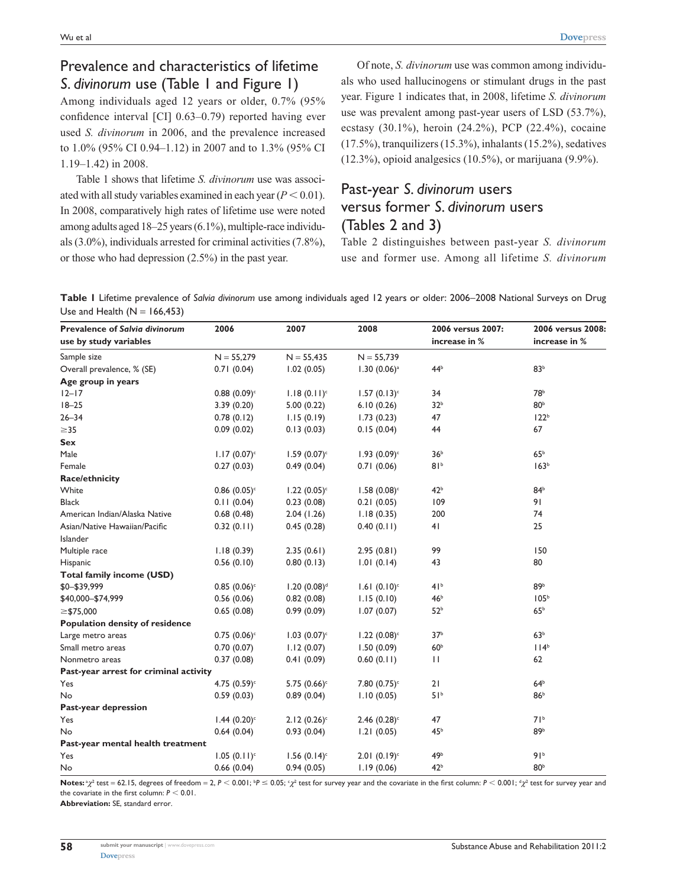# Prevalence and characteristics of lifetime *S. divinorum* use (Table 1 and Figure 1)

Among individuals aged 12 years or older, 0.7% (95% confidence interval [CI] 0.63–0.79) reported having ever used *S. divinorum* in 2006, and the prevalence increased to 1.0% (95% CI 0.94–1.12) in 2007 and to 1.3% (95% CI 1.19–1.42) in 2008.

Table 1 shows that lifetime *S. divinorum* use was associated with all study variables examined in each year  $(P < 0.01)$ . In 2008, comparatively high rates of lifetime use were noted among adults aged 18–25 years (6.1%), multiple-race individuals (3.0%), individuals arrested for criminal activities (7.8%), or those who had depression (2.5%) in the past year.

Of note, *S. divinorum* use was common among individuals who used hallucinogens or stimulant drugs in the past year. Figure 1 indicates that, in 2008, lifetime *S. divinorum* use was prevalent among past-year users of LSD (53.7%), ecstasy (30.1%), heroin (24.2%), PCP (22.4%), cocaine (17.5%), tranquilizers (15.3%), inhalants (15.2%), sedatives (12.3%), opioid analgesics (10.5%), or marijuana (9.9%).

# Past-year *S. divinorum* users versus former *S. divinorum* users (Tables 2 and 3)

Table 2 distinguishes between past-year *S. divinorum* use and former use. Among all lifetime *S. divinorum*

**Table 1** Lifetime prevalence of *Salvia divinorum* use among individuals aged 12 years or older: 2006-2008 National Surveys on Drug Use and Health  $(N = 166, 453)$ 

| <b>Prevalence of Salvia divinorum</b><br>use by study variables | 2006                       | 2007                       | 2008                       | 2006 versus 2007:<br>increase in % | 2006 versus 2008:<br>increase in % |
|-----------------------------------------------------------------|----------------------------|----------------------------|----------------------------|------------------------------------|------------------------------------|
| Sample size                                                     | $N = 55,279$               | $N = 55,435$               | $N = 55,739$               |                                    |                                    |
| Overall prevalence, % (SE)                                      | 0.71(0.04)                 | 1.02(0.05)                 | $1.30(0.06)^a$             | 44 <sup>b</sup>                    | 83 <sup>b</sup>                    |
| Age group in years                                              |                            |                            |                            |                                    |                                    |
| $12 - 17$                                                       | $0.88(0.09)$ <sup>c</sup>  | $1.18(0.11)^c$             | $1.57(0.13)^c$             | 34                                 | 78 <sup>b</sup>                    |
| $18 - 25$                                                       | 3.39(0.20)                 | 5.00(0.22)                 | 6.10(0.26)                 | 32 <sup>b</sup>                    | 80 <sup>b</sup>                    |
| $26 - 34$                                                       | 0.78(0.12)                 | 1.15(0.19)                 | 1.73(0.23)                 | 47                                 | 122 <sup>b</sup>                   |
| $\geq$ 35                                                       | 0.09(0.02)                 | 0.13(0.03)                 | 0.15(0.04)                 | 44                                 | 67                                 |
| <b>Sex</b>                                                      |                            |                            |                            |                                    |                                    |
| Male                                                            | $1.17(0.07)$ <sup>c</sup>  | $1.59(0.07)^c$             | $1.93 (0.09)^c$            | 36 <sup>b</sup>                    | 65 <sup>b</sup>                    |
| Female                                                          | 0.27(0.03)                 | 0.49(0.04)                 | 0.71(0.06)                 | 81 <sup>b</sup>                    | 163 <sup>b</sup>                   |
| Race/ethnicity                                                  |                            |                            |                            |                                    |                                    |
| White                                                           | $0.86$ (0.05) <sup>c</sup> | $1.22 (0.05)^c$            | $1.58(0.08)^c$             | 42 <sup>b</sup>                    | 84 <sup>b</sup>                    |
| <b>Black</b>                                                    | 0.11(0.04)                 | 0.23(0.08)                 | 0.21(0.05)                 | 109                                | 91                                 |
| American Indian/Alaska Native                                   | 0.68(0.48)                 | 2.04(1.26)                 | 1.18(0.35)                 | 200                                | 74                                 |
| Asian/Native Hawaiian/Pacific                                   | 0.32(0.11)                 | 0.45(0.28)                 | 0.40(0.11)                 | 41                                 | 25                                 |
| Islander                                                        |                            |                            |                            |                                    |                                    |
| Multiple race                                                   | 1.18(0.39)                 | 2.35(0.61)                 | 2.95(0.81)                 | 99                                 | 150                                |
| Hispanic                                                        | 0.56(0.10)                 | 0.80(0.13)                 | 1.01(0.14)                 | 43                                 | 80                                 |
| Total family income (USD)                                       |                            |                            |                            |                                    |                                    |
| \$0-\$39,999                                                    | $0.85(0.06)^c$             | $1.20 (0.08)^d$            | $1.61 (0.10)^c$            | 41 <sup>b</sup>                    | 89b                                |
| \$40,000-\$74,999                                               | 0.56(0.06)                 | 0.82(0.08)                 | 1.15(0.10)                 | 46 <sup>b</sup>                    | 105 <sup>b</sup>                   |
| $\geq$ \$75,000                                                 | 0.65(0.08)                 | 0.99(0.09)                 | 1.07(0.07)                 | 52 <sup>b</sup>                    | 65 <sup>b</sup>                    |
| Population density of residence                                 |                            |                            |                            |                                    |                                    |
| Large metro areas                                               | $0.75(0.06)^c$             | $1.03$ $(0.07)^c$          | $1.22 (0.08)^c$            | 37 <sup>b</sup>                    | 63 <sup>b</sup>                    |
| Small metro areas                                               | 0.70(0.07)                 | 1.12(0.07)                 | 1.50(0.09)                 | 60 <sup>b</sup>                    | 114 <sup>b</sup>                   |
| Nonmetro areas                                                  | 0.37(0.08)                 | 0.41(0.09)                 | 0.60(0.11)                 | $\mathbf{H}$                       | 62                                 |
| Past-year arrest for criminal activity                          |                            |                            |                            |                                    |                                    |
| Yes                                                             | 4.75 $(0.59)^c$            | 5.75 $(0.66)^c$            | $7.80~(0.75)^c$            | 21                                 | 64 <sup>b</sup>                    |
| No                                                              | 0.59(0.03)                 | 0.89(0.04)                 | 1.10(0.05)                 | 51 <sup>b</sup>                    | 86 <sup>b</sup>                    |
| Past-year depression                                            |                            |                            |                            |                                    |                                    |
| Yes                                                             | $1.44 (0.20)$ <sup>c</sup> | $2.12 (0.26)^c$            | $2.46$ (0.28) <sup>c</sup> | 47                                 | 71 <sup>b</sup>                    |
| No                                                              | 0.64(0.04)                 | 0.93(0.04)                 | 1.21(0.05)                 | 45 <sup>b</sup>                    | 89b                                |
| Past-year mental health treatment                               |                            |                            |                            |                                    |                                    |
| Yes                                                             | $1.05 (0.11)^c$            | $1.56 (0.14)$ <sup>c</sup> | $2.01(0.19)^c$             | 49b                                | 91 <sup>b</sup>                    |
| No                                                              | 0.66(0.04)                 | 0.94(0.05)                 | 1.19(0.06)                 | 42 <sup>b</sup>                    | 80 <sup>b</sup>                    |

<code>Notes:</code>  $\gamma^2$  test = 62.15, degrees of freedom = 2, P < 0.001;  $^{\text{bp}}$   $\leq$  0.05;  $\gamma^2$  test for survey year and the covariate in the first column: P < 0.001;  $^{\text{t}}\gamma^2$  test for survey year and the covariate in the first column:  $P < 0.01$ .

**Abbreviation:** SE, standard error.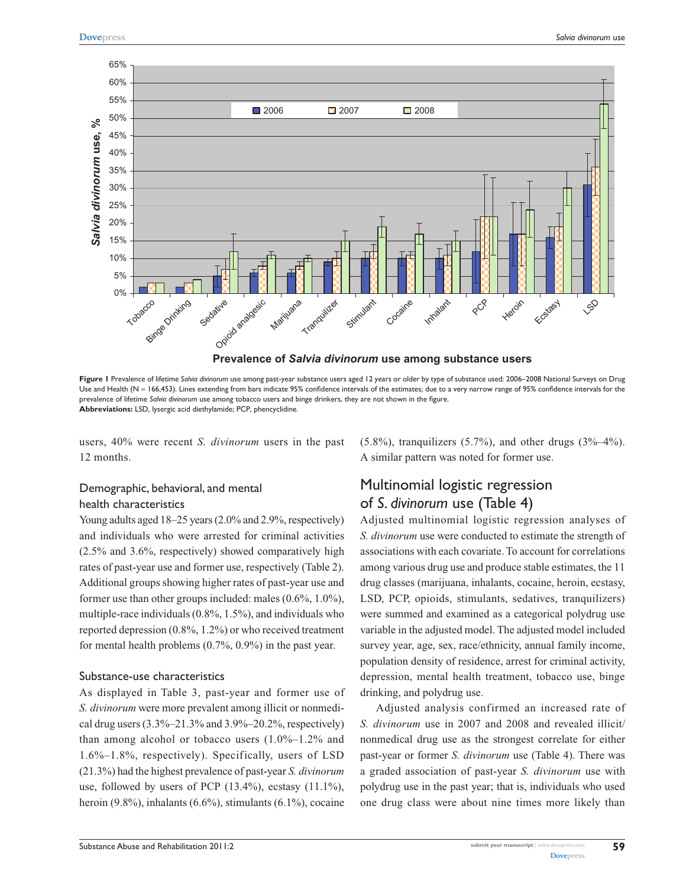

**Figure 1** Prevalence of lifetime *Salvia divinorum* use among past-year substance users aged 12 years or older by type of substance used: 2006–2008 National Surveys on Drug Use and Health (N = 166,453). Lines extending from bars indicate 95% confidence intervals of the estimates; due to a very narrow range of 95% confidence intervals for the prevalence of lifetime *Salvia divinorum* use among tobacco users and binge drinkers, they are not shown in the figure. **Abbreviations:** LSD, lysergic acid diethylamide; PCP, phencyclidine.

users, 40% were recent *S. divinorum* users in the past 12 months.

### Demographic, behavioral, and mental health characteristics

Young adults aged 18–25 years (2.0% and 2.9%, respectively) and individuals who were arrested for criminal activities (2.5% and 3.6%, respectively) showed comparatively high rates of past-year use and former use, respectively (Table 2). Additional groups showing higher rates of past-year use and former use than other groups included: males (0.6%, 1.0%), multiple-race individuals (0.8%, 1.5%), and individuals who reported depression (0.8%, 1.2%) or who received treatment for mental health problems (0.7%, 0.9%) in the past year.

#### Substance-use characteristics

As displayed in Table 3, past-year and former use of *S. divinorum* were more prevalent among illicit or nonmedical drug users  $(3.3\text{%}-21.3\text{%}$  and  $3.9\text{%}-20.2\text{%}$ , respectively) than among alcohol or tobacco users (1.0%–1.2% and 1.6%–1.8%, respectively). Specifically, users of LSD (21.3%) had the highest prevalence of past-year *S. divinorum* use, followed by users of PCP (13.4%), ecstasy (11.1%), heroin (9.8%), inhalants (6.6%), stimulants (6.1%), cocaine

 $(5.8\%)$ , tranquilizers  $(5.7\%)$ , and other drugs  $(3\%-4\%)$ . A similar pattern was noted for former use.

## Multinomial logistic regression of *S. divinorum* use (Table 4)

Adjusted multinomial logistic regression analyses of *S. divinorum* use were conducted to estimate the strength of associations with each covariate. To account for correlations among various drug use and produce stable estimates, the 11 drug classes (marijuana, inhalants, cocaine, heroin, ecstasy, LSD, PCP, opioids, stimulants, sedatives, tranquilizers) were summed and examined as a categorical polydrug use variable in the adjusted model. The adjusted model included survey year, age, sex, race/ethnicity, annual family income, population density of residence, arrest for criminal activity, depression, mental health treatment, tobacco use, binge drinking, and polydrug use.

Adjusted analysis confirmed an increased rate of *S. divinorum* use in 2007 and 2008 and revealed illicit/ nonmedical drug use as the strongest correlate for either past-year or former *S. divinorum* use (Table 4). There was a graded association of past-year *S. divinorum* use with polydrug use in the past year; that is, individuals who used one drug class were about nine times more likely than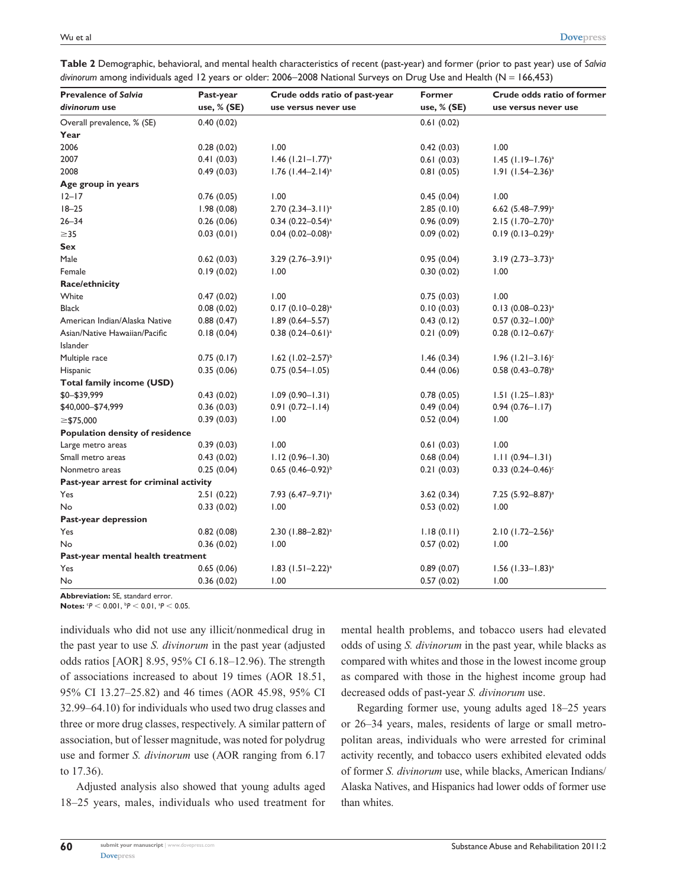| Table 2 Demographic, behavioral, and mental health characteristics of recent (past-year) and former (prior to past year) use of Salvia |  |
|----------------------------------------------------------------------------------------------------------------------------------------|--|
| divinorum among individuals aged 12 years or older: 2006–2008 National Surveys on Drug Use and Health $(N = 166,453)$                  |  |

| <b>Prevalence of Salvia</b>            | Past-year     | Crude odds ratio of past-year   | Former      | Crude odds ratio of former          |
|----------------------------------------|---------------|---------------------------------|-------------|-------------------------------------|
| divinorum use                          | use, $%$ (SE) | use versus never use            | use, % (SE) | use versus never use                |
| Overall prevalence, % (SE)             | 0.40(0.02)    |                                 | 0.61(0.02)  |                                     |
| Year                                   |               |                                 |             |                                     |
| 2006                                   | 0.28(0.02)    | 1.00                            | 0.42(0.03)  | 1.00                                |
| 2007                                   | 0.41(0.03)    | $1.46$ (1.21-1.77) <sup>a</sup> | 0.61(0.03)  | $1.45$ (1.19-1.76) <sup>a</sup>     |
| 2008                                   | 0.49(0.03)    | $1.76$ (1.44-2.14) <sup>a</sup> | 0.81(0.05)  | $1.91$ (1.54-2.36) <sup>a</sup>     |
| Age group in years                     |               |                                 |             |                                     |
| $12 - 17$                              | 0.76(0.05)    | 1.00                            | 0.45(0.04)  | 1.00                                |
| $18 - 25$                              | 1.98(0.08)    | $2.70$ $(2.34-3.11)^a$          | 2.85(0.10)  | 6.62 $(5.48 - 7.99)^{a}$            |
| $26 - 34$                              | 0.26(0.06)    | $0.34$ (0.22-0.54) <sup>a</sup> | 0.96(0.09)  | $2.15$ (1.70-2.70) <sup>a</sup>     |
| $\geq$ 35                              | 0.03(0.01)    | $0.04$ (0.02-0.08) <sup>a</sup> | 0.09(0.02)  | $0.19(0.13 - 0.29)^{a}$             |
| Sex                                    |               |                                 |             |                                     |
| Male                                   | 0.62(0.03)    | $3.29$ (2.76-3.91) <sup>a</sup> | 0.95(0.04)  | $3.19$ (2.73-3.73) <sup>a</sup>     |
| Female                                 | 0.19(0.02)    | 1.00                            | 0.30(0.02)  | 1.00                                |
| Race/ethnicity                         |               |                                 |             |                                     |
| White                                  | 0.47(0.02)    | 1.00                            | 0.75(0.03)  | 1.00                                |
| <b>Black</b>                           | 0.08(0.02)    | $0.17(0.10-0.28)^{a}$           | 0.10(0.03)  | $0.13$ $(0.08 - 0.23)^{a}$          |
| American Indian/Alaska Native          | 0.88(0.47)    | $1.89(0.64 - 5.57)$             | 0.43(0.12)  | $0.57$ $(0.32 - 1.00)^{b}$          |
| Asian/Native Hawaiian/Pacific          | 0.18(0.04)    | $0.38(0.24 - 0.61)^a$           | 0.21(0.09)  | $0.28$ (0.12-0.67) <sup>c</sup>     |
| Islander                               |               |                                 |             |                                     |
| Multiple race                          | 0.75(0.17)    | $1.62$ (1.02-2.57) <sup>b</sup> | 1.46(0.34)  | $1.96$ (1.21–3.16) <sup>c</sup>     |
| Hispanic                               | 0.35(0.06)    | $0.75(0.54 - 1.05)$             | 0.44(0.06)  | $0.58$ (0.43-0.78) <sup>a</sup>     |
| Total family income (USD)              |               |                                 |             |                                     |
| \$0-\$39,999                           | 0.43(0.02)    | $1.09(0.90 - 1.31)$             | 0.78(0.05)  | $1.51$ (1.25-1.83) <sup>a</sup>     |
| \$40,000-\$74,999                      | 0.36(0.03)    | $0.91(0.72 - 1.14)$             | 0.49(0.04)  | $0.94(0.76 - 1.17)$                 |
| $\geq$ \$75,000                        | 0.39(0.03)    | 1.00                            | 0.52(0.04)  | 1.00                                |
| Population density of residence        |               |                                 |             |                                     |
| Large metro areas                      | 0.39(0.03)    | 1.00                            | 0.61(0.03)  | 1.00                                |
| Small metro areas                      | 0.43(0.02)    | $1.12(0.96 - 1.30)$             | 0.68(0.04)  | $1.11(0.94 - 1.31)$                 |
| Nonmetro areas                         | 0.25(0.04)    | $0.65$ $(0.46 - 0.92)^{b}$      | 0.21(0.03)  | $0.33$ $(0.24 - 0.46)$ <sup>c</sup> |
| Past-year arrest for criminal activity |               |                                 |             |                                     |
| Yes                                    | 2.51(0.22)    | $7.93 (6.47 - 9.71)^{a}$        | 3.62(0.34)  | $7.25$ (5.92-8.87) <sup>a</sup>     |
| No                                     | 0.33(0.02)    | 1.00                            | 0.53(0.02)  | 1.00                                |
| Past-year depression                   |               |                                 |             |                                     |
| Yes                                    | 0.82(0.08)    | $2.30$ (1.88-2.82) <sup>a</sup> | 1.18(0.11)  | $2.10$ (1.72-2.56) <sup>a</sup>     |
| No                                     | 0.36(0.02)    | 1.00                            | 0.57(0.02)  | 1.00                                |
| Past-year mental health treatment      |               |                                 |             |                                     |
| Yes                                    | 0.65(0.06)    | $1.83$ (1.51-2.22) <sup>a</sup> | 0.89(0.07)  | $1.56$ (1.33-1.83) <sup>a</sup>     |
| No                                     | 0.36(0.02)    | 1.00                            | 0.57(0.02)  | 1.00                                |

**Abbreviation:** SE, standard error.

**Notes:**  $P < 0.001$ ,  $P < 0.01$ ,  $P < 0.05$ .

individuals who did not use any illicit/nonmedical drug in the past year to use *S. divinorum* in the past year (adjusted odds ratios [AOR] 8.95, 95% CI 6.18–12.96). The strength of associations increased to about 19 times (AOR 18.51, 95% CI 13.27–25.82) and 46 times (AOR 45.98, 95% CI 32.99–64.10) for individuals who used two drug classes and three or more drug classes, respectively. A similar pattern of association, but of lesser magnitude, was noted for polydrug use and former *S. divinorum* use (AOR ranging from 6.17 to 17.36).

Adjusted analysis also showed that young adults aged 18–25 years, males, individuals who used treatment for mental health problems, and tobacco users had elevated odds of using *S. divinorum* in the past year, while blacks as compared with whites and those in the lowest income group as compared with those in the highest income group had decreased odds of past-year *S. divinorum* use.

Regarding former use, young adults aged 18–25 years or 26–34 years, males, residents of large or small metropolitan areas, individuals who were arrested for criminal activity recently, and tobacco users exhibited elevated odds of former *S. divinorum* use, while blacks, American Indians/ Alaska Natives, and Hispanics had lower odds of former use than whites.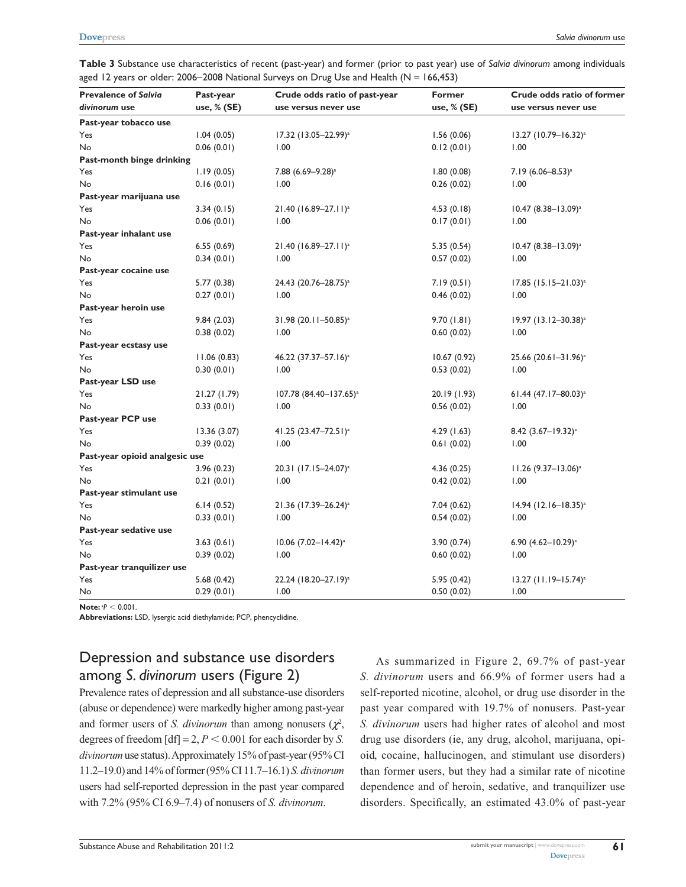| Table 3 Substance use characteristics of recent (past-year) and former (prior to past year) use of Salvia divinorum among individuals |  |
|---------------------------------------------------------------------------------------------------------------------------------------|--|
| aged 12 years or older: $2006-2008$ National Surveys on Drug Use and Health (N = 166,453)                                             |  |

| <b>Prevalence of Salvia</b>    | Past-year   | Crude odds ratio of past-year        | Former       | Crude odds ratio of former         |  |
|--------------------------------|-------------|--------------------------------------|--------------|------------------------------------|--|
| divinorum use                  | use, % (SE) | use versus never use                 | use, % (SE)  | use versus never use               |  |
| Past-year tobacco use          |             |                                      |              |                                    |  |
| Yes                            | 1.04(0.05)  | 17.32 (13.05-22.99) <sup>a</sup>     | 1.56(0.06)   | $13.27$ (10.79-16.32) <sup>a</sup> |  |
| No                             | 0.06(0.01)  | 1.00                                 | 0.12(0.01)   | 1.00                               |  |
| Past-month binge drinking      |             |                                      |              |                                    |  |
| Yes                            | 1.19(0.05)  | 7.88 (6.69-9.28) <sup>a</sup>        | 1.80(0.08)   | 7.19 (6.06-8.53) <sup>a</sup>      |  |
| No                             | 0.16(0.01)  | 1.00                                 | 0.26(0.02)   | 1.00                               |  |
| Past-year marijuana use        |             |                                      |              |                                    |  |
| Yes                            | 3.34(0.15)  | 21.40 (16.89-27.11) <sup>a</sup>     | 4.53(0.18)   | 10.47 (8.38-13.09) <sup>a</sup>    |  |
| No                             | 0.06(0.01)  | 1.00                                 | 0.17(0.01)   | 1.00                               |  |
| Past-year inhalant use         |             |                                      |              |                                    |  |
| Yes                            | 6.55(0.69)  | 21.40 (16.89-27.11) <sup>a</sup>     | 5.35(0.54)   | $10.47$ (8.38-13.09) <sup>a</sup>  |  |
| No                             | 0.34(0.01)  | 1.00                                 | 0.57(0.02)   | 1.00                               |  |
| Past-year cocaine use          |             |                                      |              |                                    |  |
| Yes                            | 5.77(0.38)  | 24.43 (20.76-28.75) <sup>a</sup>     | 7.19(0.51)   | $17.85$ (15.15-21.03) <sup>a</sup> |  |
| No                             | 0.27(0.01)  | 1.00                                 | 0.46(0.02)   | 1.00                               |  |
| Past-year heroin use           |             |                                      |              |                                    |  |
| Yes                            | 9.84(2.03)  | 31.98 (20.11-50.85) <sup>a</sup>     | 9.70(1.81)   | 19.97 (13.12-30.38) <sup>a</sup>   |  |
| No                             | 0.38(0.02)  | 1.00                                 | 0.60(0.02)   | 1.00                               |  |
| Past-year ecstasy use          |             |                                      |              |                                    |  |
| Yes                            | 11.06(0.83) | 46.22 (37.37-57.16) <sup>a</sup>     | 10.67(0.92)  | $25.66$ (20.61-31.96) <sup>a</sup> |  |
| No                             | 0.30(0.01)  | 1.00                                 | 0.53(0.02)   | 1.00                               |  |
| Past-year LSD use              |             |                                      |              |                                    |  |
| Yes                            | 21.27(1.79) | $107.78$ (84.40-137.65) <sup>a</sup> | 20.19 (1.93) | 61.44 $(47.17 - 80.03)^{a}$        |  |
| No                             | 0.33(0.01)  | 1.00                                 | 0.56(0.02)   | 1.00                               |  |
| Past-year PCP use              |             |                                      |              |                                    |  |
| Yes                            | 13.36(3.07) | 41.25 (23.47-72.51) <sup>a</sup>     | 4.29(1.63)   | $8.42$ (3.67-19.32) <sup>a</sup>   |  |
| No                             | 0.39(0.02)  | 1.00                                 | 0.61(0.02)   | 1.00                               |  |
| Past-year opioid analgesic use |             |                                      |              |                                    |  |
| Yes                            | 3.96(0.23)  | 20.31 (17.15-24.07) <sup>a</sup>     | 4.36(0.25)   | $11.26$ (9.37–13.06) <sup>a</sup>  |  |
| No                             | 0.21(0.01)  | 1.00                                 | 0.42(0.02)   | 1.00                               |  |
| Past-year stimulant use        |             |                                      |              |                                    |  |
| Yes                            | 6.14(0.52)  | 21.36 (17.39-26.24) <sup>a</sup>     | 7.04(0.62)   | $14.94$ (12.16–18.35) <sup>a</sup> |  |
| No                             | 0.33(0.01)  | 1.00                                 | 0.54(0.02)   | 1.00                               |  |
| Past-year sedative use         |             |                                      |              |                                    |  |
| Yes                            | 3.63(0.61)  | $10.06$ $(7.02 - 14.42)^a$           | 3.90(0.74)   | 6.90 (4.62-10.29) <sup>a</sup>     |  |
| No                             | 0.39(0.02)  | 1.00                                 | 0.60(0.02)   | 1.00                               |  |
| Past-year tranquilizer use     |             |                                      |              |                                    |  |
| Yes                            | 5.68(0.42)  | 22.24 (18.20-27.19) <sup>a</sup>     | 5.95(0.42)   | 13.27 (11.19-15.74) <sup>a</sup>   |  |
| No                             | 0.29(0.01)  | 1.00                                 | 0.50(0.02)   | 1.00                               |  |

**Note:**<sup>a</sup> $P$  < 0.001.

**Abbreviations:** LSD, lysergic acid diethylamide; PCP, phencyclidine.

# Depression and substance use disorders among *S. divinorum* users (Figure 2)

Prevalence rates of depression and all substance-use disorders (abuse or dependence) were markedly higher among past-year and former users of *S. divinorum* than among nonusers  $(\chi^2)$ , degrees of freedom  $\text{[df]} = 2$ ,  $P < 0.001$  for each disorder by *S*. *divinorum* use status). Approximately 15% of past-year (95% CI 11.2–19.0) and 14% of former (95% CI 11.7–16.1) *S. divinorum* users had self-reported depression in the past year compared with 7.2% (95% CI 6.9–7.4) of nonusers of *S. divinorum*.

As summarized in Figure 2, 69.7% of past-year *S. divinorum* users and 66.9% of former users had a self-reported nicotine, alcohol, or drug use disorder in the past year compared with 19.7% of nonusers. Past-year *S. divinorum* users had higher rates of alcohol and most drug use disorders (ie, any drug, alcohol, marijuana, opioid, cocaine, hallucinogen, and stimulant use disorders) than former users, but they had a similar rate of nicotine dependence and of heroin, sedative, and tranquilizer use disorders. Specifically, an estimated 43.0% of past-year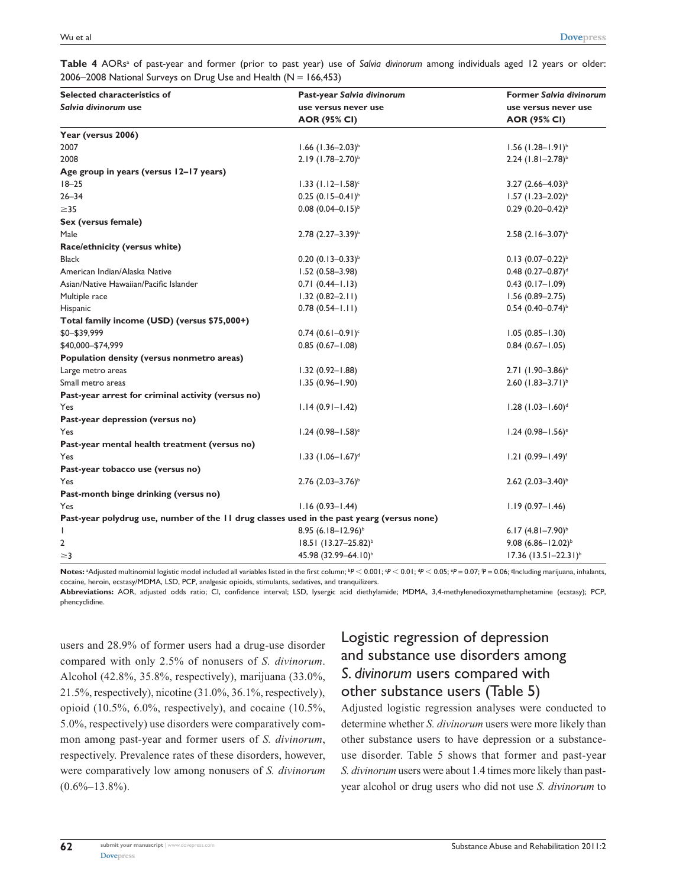| Table 4 AORs <sup>a</sup> of past-year and former (prior to past year) use of Salvia divinorum among individuals aged 12 years or older: |  |  |  |  |  |  |  |
|------------------------------------------------------------------------------------------------------------------------------------------|--|--|--|--|--|--|--|
| 2006–2008 National Surveys on Drug Use and Health $(N = 166,453)$                                                                        |  |  |  |  |  |  |  |

| Selected characteristics of                        | Past-year Salvia divinorum                                                                 | Former Salvia divinorum            |
|----------------------------------------------------|--------------------------------------------------------------------------------------------|------------------------------------|
| Salvia divinorum use                               | use versus never use                                                                       | use versus never use               |
|                                                    | <b>AOR (95% CI)</b>                                                                        | <b>AOR (95% CI)</b>                |
| Year (versus 2006)                                 |                                                                                            |                                    |
| 2007                                               | $1.66$ (1.36-2.03) <sup>b</sup>                                                            | $1.56$ $(1.28 - 1.91)^{b}$         |
| 2008                                               | $2.19$ (1.78-2.70) <sup>b</sup>                                                            | $2.24$ (1.81-2.78) <sup>b</sup>    |
| Age group in years (versus 12–17 years)            |                                                                                            |                                    |
| $18 - 25$                                          | 1.33 $(1.12 - 1.58)^c$                                                                     | 3.27 $(2.66 - 4.03)^{b}$           |
| $26 - 34$                                          | $0.25(0.15-0.41)^{b}$                                                                      | $1.57$ (1.23-2.02) <sup>b</sup>    |
| $\geq$ 35                                          | $0.08$ $(0.04 - 0.15)^{b}$                                                                 | $0.29 (0.20 - 0.42)^{b}$           |
| Sex (versus female)                                |                                                                                            |                                    |
| Male                                               | $2.78$ (2.27-3.39) <sup>b</sup>                                                            | $2.58$ (2.16-3.07) <sup>b</sup>    |
| Race/ethnicity (versus white)                      |                                                                                            |                                    |
| <b>Black</b>                                       | $0.20 (0.13 - 0.33)^{b}$                                                                   | $0.13$ $(0.07-0.22)^{b}$           |
| American Indian/Alaska Native                      | $1.52(0.58 - 3.98)$                                                                        | $0.48$ (0.27-0.87) <sup>d</sup>    |
| Asian/Native Hawaiian/Pacific Islander             | $0.71(0.44 - 1.13)$                                                                        | $0.43(0.17-1.09)$                  |
| Multiple race                                      | $1.32(0.82 - 2.11)$                                                                        | $1.56(0.89 - 2.75)$                |
| Hispanic                                           | $0.78(0.54 - 1.11)$                                                                        | $0.54$ (0.40-0.74) <sup>b</sup>    |
| Total family income (USD) (versus \$75,000+)       |                                                                                            |                                    |
| \$0-\$39,999                                       | $0.74$ $(0.61 - 0.91)$ <sup>c</sup>                                                        | $1.05(0.85 - 1.30)$                |
| \$40,000-\$74,999                                  | $0.85(0.67 - 1.08)$                                                                        | $0.84(0.67 - 1.05)$                |
| Population density (versus nonmetro areas)         |                                                                                            |                                    |
| Large metro areas                                  | $1.32(0.92 - 1.88)$                                                                        | $2.71$ (1.90-3.86) <sup>b</sup>    |
| Small metro areas                                  | $1.35(0.96 - 1.90)$                                                                        | $2.60$ (1.83-3.71) <sup>b</sup>    |
| Past-year arrest for criminal activity (versus no) |                                                                                            |                                    |
| Yes                                                | $1.14(0.91 - 1.42)$                                                                        | $1.28$ (1.03-1.60) <sup>d</sup>    |
| Past-year depression (versus no)                   |                                                                                            |                                    |
| Yes                                                | $1.24$ (0.98-1.58) <sup>e</sup>                                                            | $1.24 (0.98 - 1.56)$ <sup>e</sup>  |
| Past-year mental health treatment (versus no)      |                                                                                            |                                    |
| Yes                                                | $1.33$ (1.06-1.67) <sup>d</sup>                                                            | $1.21 (0.99 - 1.49)^f$             |
| Past-year tobacco use (versus no)                  |                                                                                            |                                    |
| Yes                                                | 2.76 $(2.03 - 3.76)^b$                                                                     | 2.62 $(2.03 - 3.40)^{b}$           |
| Past-month binge drinking (versus no)              |                                                                                            |                                    |
| Yes                                                | $1.16(0.93 - 1.44)$                                                                        | $1.19(0.97 - 1.46)$                |
|                                                    | Past-year polydrug use, number of the 11 drug classes used in the past yearg (versus none) |                                    |
| T                                                  | 8.95 (6.18-12.96) <sup>b</sup>                                                             | 6.17 $(4.81 - 7.90)^{b}$           |
| $\overline{2}$                                     | 18.51 (13.27-25.82) <sup>b</sup>                                                           | 9.08 $(6.86 - 12.02)^{b}$          |
| $\geq$ 3                                           | 45.98 (32.99-64.10) <sup>b</sup>                                                           | $17.36$ (13.51-22.31) <sup>b</sup> |

<code>Notes:</code> <code>Adjusted</code> multinomial logistic model included all variables listed in the first column; <code>bp</code>  $<$  0.001; <code>cp</code>  $<$  0.001;  $\phi$   $<$  0.05; <code>ep</code>  $=$  0.05; <code>fp</code>  $=$  0.06; <code>smcluding</code> marijuana, inhalants, cocaine, heroin, ecstasy/MDMA, LSD, PCP, analgesic opioids, stimulants, sedatives, and tranquilizers.

**Abbreviations:** AOR, adjusted odds ratio; CI, confidence interval; LSD, lysergic acid diethylamide; MDMA, 3,4-methylenedioxymethamphetamine (ecstasy); PCP, phencyclidine.

users and 28.9% of former users had a drug-use disorder compared with only 2.5% of nonusers of *S. divinorum*. Alcohol (42.8%, 35.8%, respectively), marijuana (33.0%, 21.5%, respectively), nicotine (31.0%, 36.1%, respectively), opioid (10.5%, 6.0%, respectively), and cocaine (10.5%, 5.0%, respectively) use disorders were comparatively common among past-year and former users of *S. divinorum*, respectively. Prevalence rates of these disorders, however, were comparatively low among nonusers of *S. divinorum*  $(0.6\% - 13.8\%)$ .

# Logistic regression of depression and substance use disorders among *S. divinorum* users compared with other substance users (Table 5)

Adjusted logistic regression analyses were conducted to determine whether *S. divinorum* users were more likely than other substance users to have depression or a substanceuse disorder. Table 5 shows that former and past-year *S. divinorum* users were about 1.4 times more likely than pastyear alcohol or drug users who did not use *S. divinorum* to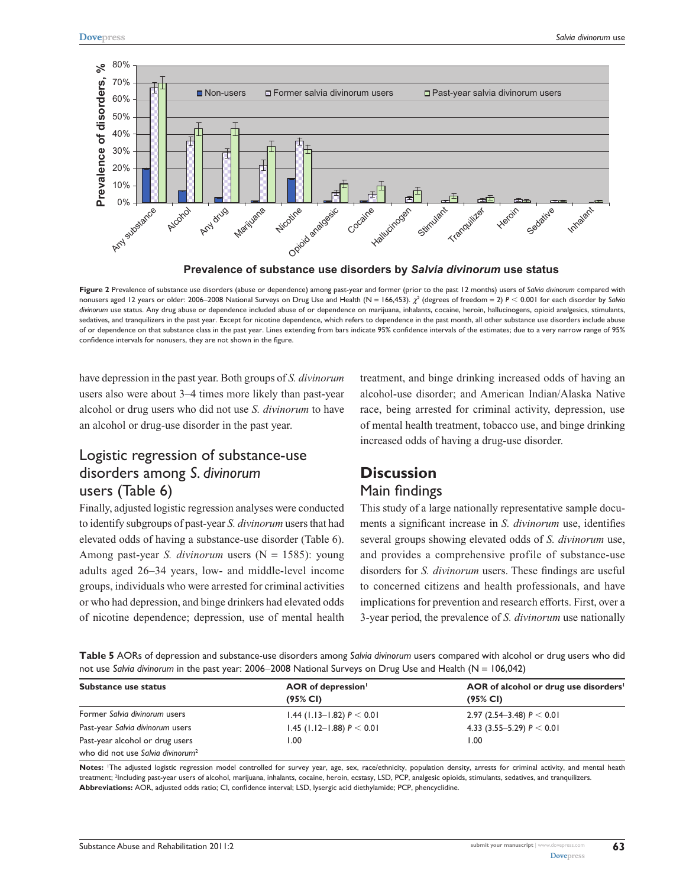

**Prevalence of substance use disorders by** *Salvia divinorum* **use status**

**Figure 2** Prevalence of substance use disorders (abuse or dependence) among past-year and former (prior to the past 12 months) users of *Salvia divinorum* compared with nonusers aged 12 years or older: 2006–2008 National Surveys on Drug Use and Health (N = 166,453). *χ*<sup>2</sup> (degrees of freedom = 2) *P* , 0.001 for each disorder by *Salvia divinorum* use status. Any drug abuse or dependence included abuse of or dependence on marijuana, inhalants, cocaine, heroin, hallucinogens, opioid analgesics, stimulants, sedatives, and tranquilizers in the past year. Except for nicotine dependence, which refers to dependence in the past month, all other substance use disorders include abuse of or dependence on that substance class in the past year. Lines extending from bars indicate 95% confidence intervals of the estimates; due to a very narrow range of 95% confidence intervals for nonusers, they are not shown in the figure.

have depression in the past year. Both groups of *S. divinorum* users also were about 3–4 times more likely than past-year alcohol or drug users who did not use *S. divinorum* to have an alcohol or drug-use disorder in the past year.

## Logistic regression of substance-use disorders among *S. divinorum* users (Table 6)

Finally, adjusted logistic regression analyses were conducted to identify subgroups of past-year *S. divinorum* users that had elevated odds of having a substance-use disorder (Table 6). Among past-year *S. divinorum* users (N = 1585): young adults aged 26–34 years, low- and middle-level income groups, individuals who were arrested for criminal activities or who had depression, and binge drinkers had elevated odds of nicotine dependence; depression, use of mental health

treatment, and binge drinking increased odds of having an alcohol-use disorder; and American Indian/Alaska Native race, being arrested for criminal activity, depression, use of mental health treatment, tobacco use, and binge drinking increased odds of having a drug-use disorder.

# **Discussion** Main findings

This study of a large nationally representative sample documents a significant increase in *S. divinorum* use, identifies several groups showing elevated odds of *S. divinorum* use, and provides a comprehensive profile of substance-use disorders for *S. divinorum* users. These findings are useful to concerned citizens and health professionals, and have implications for prevention and research efforts. First, over a 3-year period, the prevalence of *S. divinorum* use nationally

**Table 5** AORs of depression and substance-use disorders among *Salvia divinorum* users compared with alcohol or drug users who did not use *Salvia divinorum* in the past year: 2006-2008 National Surveys on Drug Use and Health (N = 106,042)

| Substance use status                          | <b>AOR</b> of depression <sup>1</sup> | AOR of alcohol or drug use disorders <sup>1</sup> |  |  |
|-----------------------------------------------|---------------------------------------|---------------------------------------------------|--|--|
|                                               | (95% CI)                              | $(95\% \text{ Cl})$                               |  |  |
| Former Salvia divinorum users                 | 1.44 (1.13–1.82) $P < 0.01$           | 2.97 (2.54–3.48) $P < 0.01$                       |  |  |
| Past-year Salvia divinorum users              | 1.45 (1.12–1.88) $P < 0.01$           | 4.33 (3.55–5.29) $P < 0.01$                       |  |  |
| Past-year alcohol or drug users               | L.OO.                                 | 1.00                                              |  |  |
| who did not use Salvia divinorum <sup>2</sup> |                                       |                                                   |  |  |

Notes: 'The adjusted logistic regression model controlled for survey year, age, sex, race/ethnicity, population density, arrests for criminal activity, and mental heath treatment; 2 Including past-year users of alcohol, marijuana, inhalants, cocaine, heroin, ecstasy, LSD, PCP, analgesic opioids, stimulants, sedatives, and tranquilizers. **Abbreviations:** AOR, adjusted odds ratio; CI, confidence interval; LSD, lysergic acid diethylamide; PCP, phencyclidine.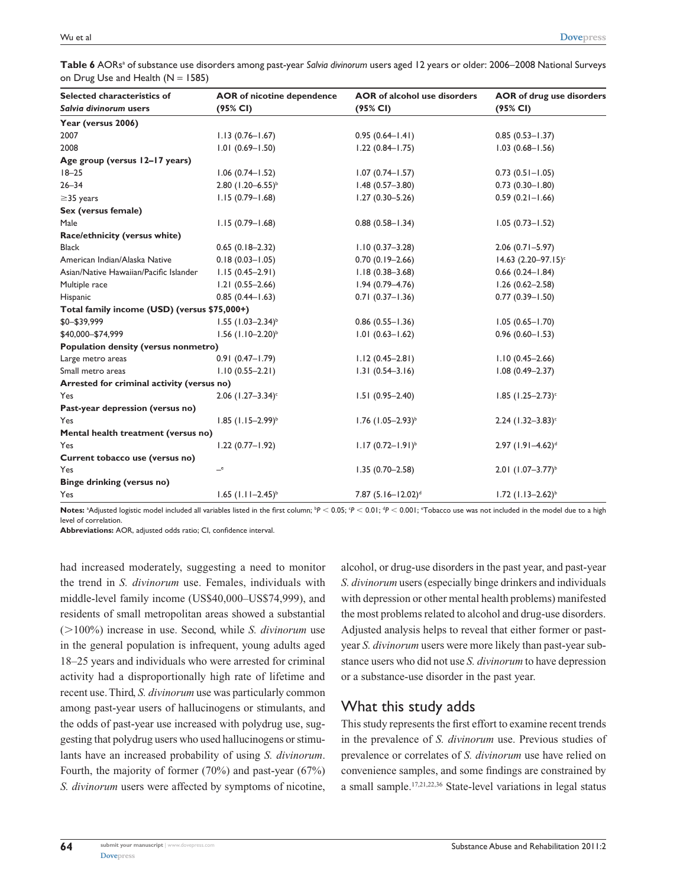|                                     | Table 6 AORs <sup>a</sup> of substance use disorders among past-year Salvia divinorum users aged 12 years or older: 2006–2008 National Surveys |  |
|-------------------------------------|------------------------------------------------------------------------------------------------------------------------------------------------|--|
| on Drug Use and Health $(N = 1585)$ |                                                                                                                                                |  |

| Selected characteristics of                  | <b>AOR</b> of nicotine dependence | <b>AOR</b> of alcohol use disorders | <b>AOR</b> of drug use disorders  |  |  |
|----------------------------------------------|-----------------------------------|-------------------------------------|-----------------------------------|--|--|
| Salvia divinorum users                       | (95% CI)                          | (95% CI)                            | (95% CI)                          |  |  |
| Year (versus 2006)                           |                                   |                                     |                                   |  |  |
| 2007                                         | $1.13(0.76 - 1.67)$               | $0.95(0.64 - 1.41)$                 | $0.85(0.53 - 1.37)$               |  |  |
| 2008                                         | $1.01(0.69 - 1.50)$               | $1.22(0.84 - 1.75)$                 | $1.03(0.68 - 1.56)$               |  |  |
| Age group (versus 12-17 years)               |                                   |                                     |                                   |  |  |
| $18 - 25$                                    | $1.06(0.74 - 1.52)$               | $1.07(0.74 - 1.57)$                 | $0.73(0.51 - 1.05)$               |  |  |
| $26 - 34$                                    | $2.80$ (1.20-6.55) <sup>b</sup>   | $1.48(0.57 - 3.80)$                 | $0.73(0.30 - 1.80)$               |  |  |
| $\geq$ 35 years                              | $1.15(0.79 - 1.68)$               | $1.27(0.30 - 5.26)$                 | $0.59(0.21 - 1.66)$               |  |  |
| Sex (versus female)                          |                                   |                                     |                                   |  |  |
| Male                                         | $1.15(0.79 - 1.68)$               | $0.88(0.58 - 1.34)$                 | $1.05(0.73 - 1.52)$               |  |  |
| Race/ethnicity (versus white)                |                                   |                                     |                                   |  |  |
| <b>Black</b>                                 | $0.65(0.18-2.32)$                 | $1.10(0.37 - 3.28)$                 | $2.06(0.71 - 5.97)$               |  |  |
| American Indian/Alaska Native                | $0.18(0.03 - 1.05)$               | $0.70(0.19 - 2.66)$                 | $14.63$ (2.20-97.15) <sup>c</sup> |  |  |
| Asian/Native Hawaiian/Pacific Islander       | $1.15(0.45 - 2.91)$               | $1.18(0.38 - 3.68)$                 | $0.66(0.24 - 1.84)$               |  |  |
| Multiple race                                | $1.21(0.55 - 2.66)$               | $1.94(0.79 - 4.76)$                 | $1.26(0.62 - 2.58)$               |  |  |
| Hispanic                                     | $0.85(0.44 - 1.63)$               | $0.71(0.37 - 1.36)$                 | $0.77(0.39 - 1.50)$               |  |  |
| Total family income (USD) (versus \$75,000+) |                                   |                                     |                                   |  |  |
| \$0-\$39,999                                 | $1.55$ (1.03-2.34) <sup>b</sup>   | $0.86$ (0.55-1.36)                  | $1.05(0.65 - 1.70)$               |  |  |
| \$40,000-\$74,999                            | $1.56$ (1.10-2.20) <sup>b</sup>   | $1.01(0.63 - 1.62)$                 | $0.96(0.60 - 1.53)$               |  |  |
| Population density (versus nonmetro)         |                                   |                                     |                                   |  |  |
| Large metro areas                            | $0.91(0.47 - 1.79)$               | $1.12(0.45 - 2.81)$                 | $1.10(0.45 - 2.66)$               |  |  |
| Small metro areas                            | $1.10(0.55 - 2.21)$               | $1.31(0.54 - 3.16)$                 | $1.08(0.49 - 2.37)$               |  |  |
| Arrested for criminal activity (versus no)   |                                   |                                     |                                   |  |  |
| Yes                                          | 2.06 $(1.27 - 3.34)$ <sup>c</sup> | $1.51(0.95 - 2.40)$                 | $1.85$ (1.25-2.73) <sup>c</sup>   |  |  |
| Past-year depression (versus no)             |                                   |                                     |                                   |  |  |
| Yes                                          | $1.85$ (1.15-2.99) <sup>b</sup>   | $1.76$ (1.05-2.93) <sup>b</sup>     | $2.24$ (1.32-3.83) <sup>c</sup>   |  |  |
| Mental health treatment (versus no)          |                                   |                                     |                                   |  |  |
| Yes                                          | $1.22(0.77 - 1.92)$               | $1.17 (0.72 - 1.91)^{b}$            | $2.97$ (1.91-4.62) <sup>d</sup>   |  |  |
| Current tobacco use (versus no)              |                                   |                                     |                                   |  |  |
| Yes                                          | $-$ e                             | $1.35(0.70 - 2.58)$                 | 2.01 $(1.07 - 3.77)^{b}$          |  |  |
| Binge drinking (versus no)                   |                                   |                                     |                                   |  |  |
| Yes                                          | $1.65$ (1.11-2.45) <sup>b</sup>   | 7.87 (5.16-12.02) <sup>d</sup>      | $1.72$ (1.13-2.62) <sup>b</sup>   |  |  |

 ${\sf Notes:}$  Adjusted logistic model included all variables listed in the first column; <sup>b</sup>P  $<$  0.05; 'P  $<$  0.01; 'P  $<$  0.001; 'Tobacco use was not included in the model due to a high level of correlation.

**Abbreviations:** AOR, adjusted odds ratio; CI, confidence interval.

had increased moderately, suggesting a need to monitor the trend in *S. divinorum* use. Females, individuals with middle-level family income (US\$40,000–US\$74,999), and residents of small metropolitan areas showed a substantial ( $>100\%$ ) increase in use. Second, while *S. divinorum* use in the general population is infrequent, young adults aged 18–25 years and individuals who were arrested for criminal activity had a disproportionally high rate of lifetime and recent use. Third, *S. divinorum* use was particularly common among past-year users of hallucinogens or stimulants, and the odds of past-year use increased with polydrug use, suggesting that polydrug users who used hallucinogens or stimulants have an increased probability of using *S. divinorum*. Fourth, the majority of former (70%) and past-year (67%) *S. divinorum* users were affected by symptoms of nicotine,

alcohol, or drug-use disorders in the past year, and past-year *S. divinorum* users (especially binge drinkers and individuals with depression or other mental health problems) manifested the most problems related to alcohol and drug-use disorders. Adjusted analysis helps to reveal that either former or pastyear *S. divinorum* users were more likely than past-year substance users who did not use *S. divinorum* to have depression or a substance-use disorder in the past year.

### What this study adds

This study represents the first effort to examine recent trends in the prevalence of *S. divinorum* use. Previous studies of prevalence or correlates of *S. divinorum* use have relied on convenience samples, and some findings are constrained by a small sample.17,21,22,36 State-level variations in legal status

**64**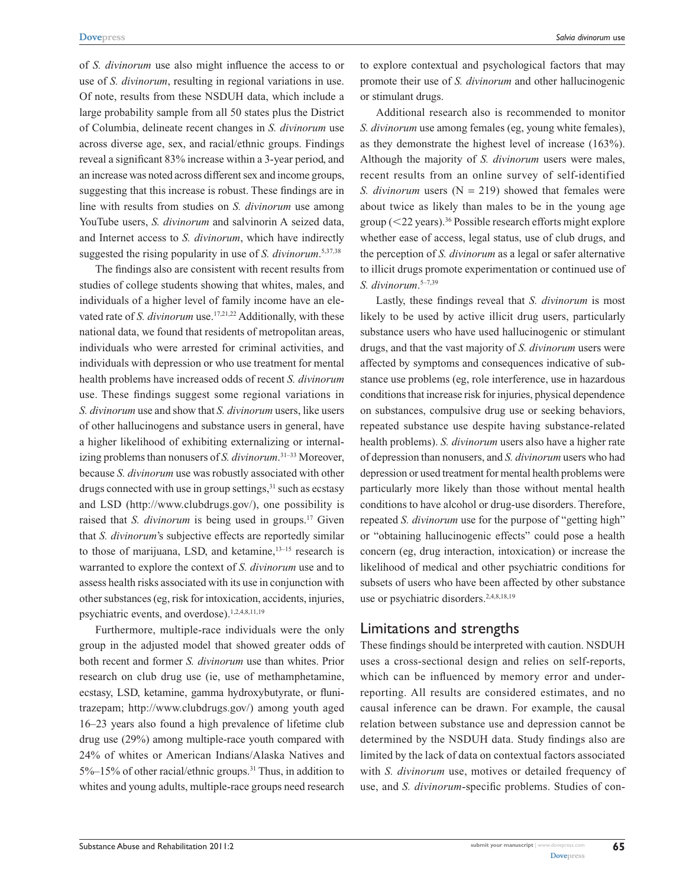of *S. divinorum* use also might influence the access to or use of *S. divinorum*, resulting in regional variations in use. Of note, results from these NSDUH data, which include a large probability sample from all 50 states plus the District of Columbia, delineate recent changes in *S. divinorum* use across diverse age, sex, and racial/ethnic groups. Findings reveal a significant 83% increase within a 3-year period, and an increase was noted across different sex and income groups, suggesting that this increase is robust. These findings are in line with results from studies on *S. divinorum* use among YouTube users, *S. divinorum* and salvinorin A seized data, and Internet access to *S. divinorum*, which have indirectly suggested the rising popularity in use of *S. divinorum*. 5,37,38

The findings also are consistent with recent results from studies of college students showing that whites, males, and individuals of a higher level of family income have an elevated rate of *S. divinorum* use.<sup>17,21,22</sup> Additionally, with these national data, we found that residents of metropolitan areas, individuals who were arrested for criminal activities, and individuals with depression or who use treatment for mental health problems have increased odds of recent *S. divinorum* use. These findings suggest some regional variations in *S. divinorum* use and show that *S. divinorum* users, like users of other hallucinogens and substance users in general, have a higher likelihood of exhibiting externalizing or internalizing problems than nonusers of *S. divinorum*. 31–33 Moreover, because *S. divinorum* use was robustly associated with other drugs connected with use in group settings, $31$  such as ecstasy and LSD ([http://www.clubdrugs.gov](mailto:http://www.clubdrugs.gov/)/), one possibility is raised that *S. divinorum* is being used in groups.<sup>17</sup> Given that *S. divinorum*'s subjective effects are reportedly similar to those of marijuana, LSD, and ketamine,<sup>13-15</sup> research is warranted to explore the context of *S. divinorum* use and to assess health risks associated with its use in conjunction with other substances (eg, risk for intoxication, accidents, injuries, psychiatric events, and overdose).<sup>1,2,4,8,11,19</sup>

Furthermore, multiple-race individuals were the only group in the adjusted model that showed greater odds of both recent and former *S. divinorum* use than whites. Prior research on club drug use (ie, use of methamphetamine, ecstasy, LSD, ketamine, gamma hydroxybutyrate, or flunitrazepam; [http://www.clubdrugs.gov](mailto:http://www.clubdrugs.gov)/) among youth aged 16–23 years also found a high prevalence of lifetime club drug use (29%) among multiple-race youth compared with 24% of whites or American Indians/Alaska Natives and  $5\%$ – $15\%$  of other racial/ethnic groups.<sup>31</sup> Thus, in addition to whites and young adults, multiple-race groups need research

to explore contextual and psychological factors that may promote their use of *S. divinorum* and other hallucinogenic or stimulant drugs.

Additional research also is recommended to monitor *S. divinorum* use among females (eg, young white females), as they demonstrate the highest level of increase (163%). Although the majority of *S. divinorum* users were males, recent results from an online survey of self-identified *S. divinorum* users  $(N = 219)$  showed that females were about twice as likely than males to be in the young age group  $(<$  22 years).<sup>36</sup> Possible research efforts might explore whether ease of access, legal status, use of club drugs, and the perception of *S. divinorum* as a legal or safer alternative to illicit drugs promote experimentation or continued use of *S. divinorum*. 5–7,39

Lastly, these findings reveal that *S. divinorum* is most likely to be used by active illicit drug users, particularly substance users who have used hallucinogenic or stimulant drugs, and that the vast majority of *S. divinorum* users were affected by symptoms and consequences indicative of substance use problems (eg, role interference, use in hazardous conditions that increase risk for injuries, physical dependence on substances, compulsive drug use or seeking behaviors, repeated substance use despite having substance-related health problems). *S. divinorum* users also have a higher rate of depression than nonusers, and *S. divinorum* users who had depression or used treatment for mental health problems were particularly more likely than those without mental health conditions to have alcohol or drug-use disorders. Therefore, repeated *S. divinorum* use for the purpose of "getting high" or "obtaining hallucinogenic effects" could pose a health concern (eg, drug interaction, intoxication) or increase the likelihood of medical and other psychiatric conditions for subsets of users who have been affected by other substance use or psychiatric disorders.2,4,8,18,19

### Limitations and strengths

These findings should be interpreted with caution. NSDUH uses a cross-sectional design and relies on self-reports, which can be influenced by memory error and underreporting. All results are considered estimates, and no causal inference can be drawn. For example, the causal relation between substance use and depression cannot be determined by the NSDUH data. Study findings also are limited by the lack of data on contextual factors associated with *S. divinorum* use, motives or detailed frequency of use, and *S. divinorum*-specific problems. Studies of con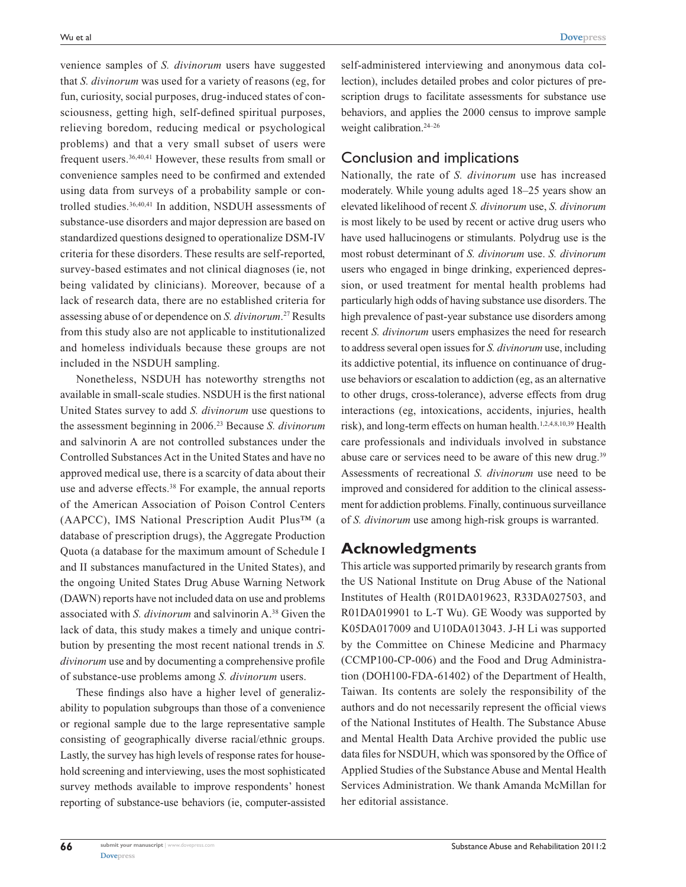venience samples of *S. divinorum* users have suggested that *S. divinorum* was used for a variety of reasons (eg, for fun, curiosity, social purposes, drug-induced states of consciousness, getting high, self-defined spiritual purposes, relieving boredom, reducing medical or psychological problems) and that a very small subset of users were frequent users.36,40,41 However, these results from small or convenience samples need to be confirmed and extended using data from surveys of a probability sample or controlled studies.36,40,41 In addition, NSDUH assessments of substance-use disorders and major depression are based on standardized questions designed to operationalize DSM-IV criteria for these disorders. These results are self-reported, survey-based estimates and not clinical diagnoses (ie, not being validated by clinicians). Moreover, because of a lack of research data, there are no established criteria for assessing abuse of or dependence on *S. divinorum*. 27 Results from this study also are not applicable to institutionalized and homeless individuals because these groups are not included in the NSDUH sampling.

Nonetheless, NSDUH has noteworthy strengths not available in small-scale studies. NSDUH is the first national United States survey to add *S. divinorum* use questions to the assessment beginning in 2006.23 Because *S. divinorum* and salvinorin A are not controlled substances under the Controlled Substances Act in the United States and have no approved medical use, there is a scarcity of data about their use and adverse effects.<sup>38</sup> For example, the annual reports of the American Association of Poison Control Centers (AAPCC), IMS National Prescription Audit Plus™ (a database of prescription drugs), the Aggregate Production Quota (a database for the maximum amount of Schedule I and II substances manufactured in the United States), and the ongoing United States Drug Abuse Warning Network (DAWN) reports have not included data on use and problems associated with *S. divinorum* and salvinorin A.38 Given the lack of data, this study makes a timely and unique contribution by presenting the most recent national trends in *S. divinorum* use and by documenting a comprehensive profile of substance-use problems among *S. divinorum* users.

These findings also have a higher level of generalizability to population subgroups than those of a convenience or regional sample due to the large representative sample consisting of geographically diverse racial/ethnic groups. Lastly, the survey has high levels of response rates for household screening and interviewing, uses the most sophisticated survey methods available to improve respondents' honest reporting of substance-use behaviors (ie, computer-assisted self-administered interviewing and anonymous data collection), includes detailed probes and color pictures of prescription drugs to facilitate assessments for substance use behaviors, and applies the 2000 census to improve sample weight calibration.24–26

### Conclusion and implications

Nationally, the rate of *S. divinorum* use has increased moderately. While young adults aged 18–25 years show an elevated likelihood of recent *S. divinorum* use, *S. divinorum* is most likely to be used by recent or active drug users who have used hallucinogens or stimulants. Polydrug use is the most robust determinant of *S. divinorum* use. *S. divinorum* users who engaged in binge drinking, experienced depression, or used treatment for mental health problems had particularly high odds of having substance use disorders. The high prevalence of past-year substance use disorders among recent *S. divinorum* users emphasizes the need for research to address several open issues for *S. divinorum* use, including its addictive potential, its influence on continuance of druguse behaviors or escalation to addiction (eg, as an alternative to other drugs, cross-tolerance), adverse effects from drug interactions (eg, intoxications, accidents, injuries, health risk), and long-term effects on human health.<sup>1,2,4,8,10,39</sup> Health care professionals and individuals involved in substance abuse care or services need to be aware of this new drug.<sup>39</sup> Assessments of recreational *S. divinorum* use need to be improved and considered for addition to the clinical assessment for addiction problems. Finally, continuous surveillance of *S. divinorum* use among high-risk groups is warranted.

### **Acknowledgments**

This article was supported primarily by research grants from the US National Institute on Drug Abuse of the National Institutes of Health (R01DA019623, R33DA027503, and R01DA019901 to L-T Wu). GE Woody was supported by K05DA017009 and U10DA013043. J-H Li was supported by the Committee on Chinese Medicine and Pharmacy (CCMP100-CP-006) and the Food and Drug Administration (DOH100-FDA-61402) of the Department of Health, Taiwan. Its contents are solely the responsibility of the authors and do not necessarily represent the official views of the National Institutes of Health. The Substance Abuse and Mental Health Data Archive provided the public use data files for NSDUH, which was sponsored by the Office of Applied Studies of the Substance Abuse and Mental Health Services Administration. We thank Amanda McMillan for her editorial assistance.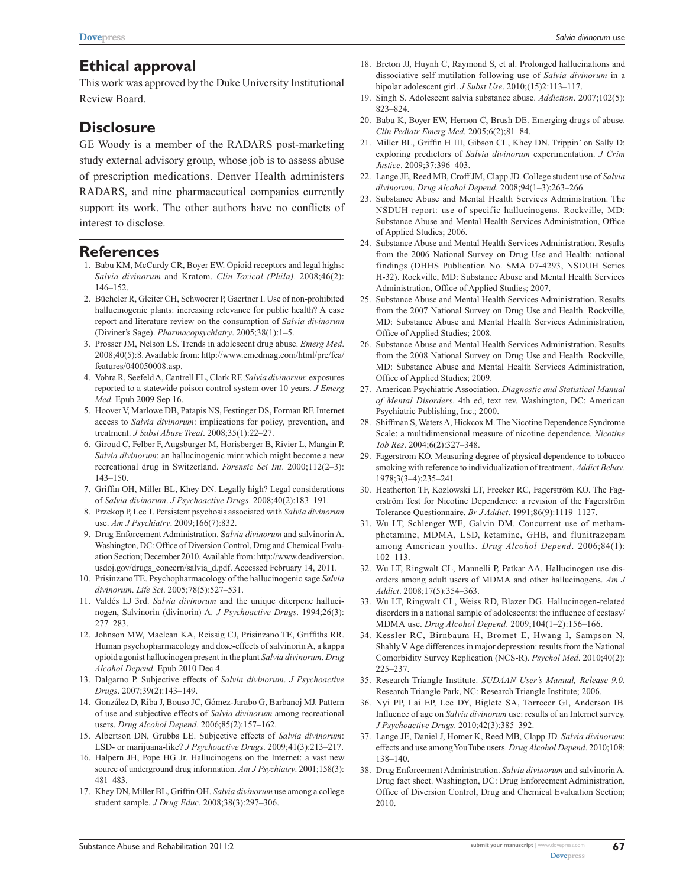### **Ethical approval**

This work was approved by the Duke University Institutional Review Board.

## **Disclosure**

GE Woody is a member of the RADARS post-marketing study external advisory group, whose job is to assess abuse of prescription medications. Denver Health administers RADARS, and nine pharmaceutical companies currently support its work. The other authors have no conflicts of interest to disclose.

# **References**

- 1. Babu KM, McCurdy CR, Boyer EW. Opioid receptors and legal highs: *Salvia divinorum* and Kratom. *Clin Toxicol (Phila)*. 2008;46(2): 146–152.
- 2. Bücheler R, Gleiter CH, Schwoerer P, Gaertner I. Use of non-prohibited hallucinogenic plants: increasing relevance for public health? A case report and literature review on the consumption of *Salvia divinorum* (Diviner's Sage). *Pharmacopsychiatry*. 2005;38(1):1–5.
- 3. Prosser JM, Nelson LS. Trends in adolescent drug abuse. *Emerg Med*. 2008;40(5):8. Available from: [http://www.emedmag.com](http://www.emedmag.com/html/pre/fea/features/040050008.asp)/html/pre/fea/ features/040050008.asp.
- 4. Vohra R, Seefeld A, Cantrell FL, Clark RF. *Salvia divinorum*: exposures reported to a statewide poison control system over 10 years. *J Emerg Med*. Epub 2009 Sep 16.
- 5. Hoover V, Marlowe DB, Patapis NS, Festinger DS, Forman RF. Internet access to *Salvia divinorum*: implications for policy, prevention, and treatment. *J Subst Abuse Treat*. 2008;35(1):22–27.
- 6. Giroud C, Felber F, Augsburger M, Horisberger B, Rivier L, Mangin P. *Salvia divinorum*: an hallucinogenic mint which might become a new recreational drug in Switzerland. *Forensic Sci Int*. 2000;112(2–3): 143–150.
- 7. Griffin OH, Miller BL, Khey DN. Legally high? Legal considerations of *Salvia divinorum*. *J Psychoactive Drugs*. 2008;40(2):183–191.
- 8. Przekop P, Lee T. Persistent psychosis associated with *Salvia divinorum* use. *Am J Psychiatry*. 2009;166(7):832.
- 9. Drug Enforcement Administration. S*alvia divinorum* and salvinorin A. Washington, DC: Office of Diversion Control, Drug and Chemical Evaluation Section; December 2010. Available from: [http://www.deadiversion.](http://www.deadiversion.usdoj.gov/drugs_concern/salvia_d.pdf) [usdoj.gov](http://www.deadiversion.usdoj.gov/drugs_concern/salvia_d.pdf)/drugs\_concern/salvia\_d.pdf. Accessed February 14, 2011.
- 10. Prisinzano TE. Psychopharmacology of the hallucinogenic sage *Salvia divinorum*. *Life Sci*. 2005;78(5):527–531.
- 11. Valdés LJ 3rd. *Salvia divinorum* and the unique diterpene hallucinogen, Salvinorin (divinorin) A. *J Psychoactive Drugs*. 1994;26(3): 277–283.
- 12. Johnson MW, Maclean KA, Reissig CJ, Prisinzano TE, Griffiths RR. Human psychopharmacology and dose-effects of salvinorin A, a kappa opioid agonist hallucinogen present in the plant *Salvia divinorum*. *Drug Alcohol Depend*. Epub 2010 Dec 4.
- 13. Dalgarno P. Subjective effects of *Salvia divinorum*. *J Psychoactive Drugs*. 2007;39(2):143–149.
- 14. González D, Riba J, Bouso JC, Gómez-Jarabo G, Barbanoj MJ. Pattern of use and subjective effects of *Salvia divinorum* among recreational users. *Drug Alcohol Depend*. 2006;85(2):157–162.
- 15. Albertson DN, Grubbs LE. Subjective effects of *Salvia divinorum*: LSD- or marijuana-like? *J Psychoactive Drugs*. 2009;41(3):213–217.
- 16. Halpern JH, Pope HG Jr. Hallucinogens on the Internet: a vast new source of underground drug information. *Am J Psychiatry*. 2001;158(3): 481–483.
- 17. Khey DN, Miller BL, Griffin OH. *Salvia divinorum* use among a college student sample. *J Drug Educ*. 2008;38(3):297–306.
- 18. Breton JJ, Huynh C, Raymond S, et al. Prolonged hallucinations and dissociative self mutilation following use of *Salvia divinorum* in a bipolar adolescent girl. *J Subst Use*. 2010;(15)2:113–117.
- 19. Singh S. Adolescent salvia substance abuse. *Addiction*. 2007;102(5): 823–824.
- 20. Babu K, Boyer EW, Hernon C, Brush DE. Emerging drugs of abuse. *Clin Pediatr Emerg Med*. 2005;6(2);81–84.
- 21. Miller BL, Griffin H III, Gibson CL, Khey DN. Trippin' on Sally D: exploring predictors of *Salvia divinorum* experimentation. *J Crim Justice*. 2009;37:396–403.
- 22. Lange JE, Reed MB, Croff JM, Clapp JD. College student use of *Salvia divinorum*. *Drug Alcohol Depend*. 2008;94(1–3):263–266.
- 23. Substance Abuse and Mental Health Services Administration. The NSDUH report: use of specific hallucinogens. Rockville, MD: Substance Abuse and Mental Health Services Administration, Office of Applied Studies; 2006.
- 24. Substance Abuse and Mental Health Services Administration. Results from the 2006 National Survey on Drug Use and Health: national findings (DHHS Publication No. SMA 07-4293, NSDUH Series H-32). Rockville, MD: Substance Abuse and Mental Health Services Administration, Office of Applied Studies; 2007.
- 25. Substance Abuse and Mental Health Services Administration. Results from the 2007 National Survey on Drug Use and Health. Rockville, MD: Substance Abuse and Mental Health Services Administration, Office of Applied Studies; 2008.
- 26. Substance Abuse and Mental Health Services Administration. Results from the 2008 National Survey on Drug Use and Health. Rockville, MD: Substance Abuse and Mental Health Services Administration, Office of Applied Studies; 2009.
- 27. American Psychiatric Association. *Diagnostic and Statistical Manual of Mental Disorders*. 4th ed, text rev. Washington, DC: American Psychiatric Publishing, Inc.; 2000.
- 28. Shiffman S, Waters A, Hickcox M. The Nicotine Dependence Syndrome Scale: a multidimensional measure of nicotine dependence. *Nicotine Tob Res*. 2004;6(2):327–348.
- 29. Fagerstrom KO. Measuring degree of physical dependence to tobacco smoking with reference to individualization of treatment. *Addict Behav*. 1978;3(3–4):235–241.
- 30. Heatherton TF, Kozlowski LT, Frecker RC, Fagerström KO. The Fagerström Test for Nicotine Dependence: a revision of the Fagerström Tolerance Questionnaire. *Br J Addict*. 1991;86(9):1119–1127.
- 31. Wu LT, Schlenger WE, Galvin DM. Concurrent use of methamphetamine, MDMA, LSD, ketamine, GHB, and flunitrazepam among American youths. *Drug Alcohol Depend*. 2006;84(1): 102–113.
- 32. Wu LT, Ringwalt CL, Mannelli P, Patkar AA. Hallucinogen use disorders among adult users of MDMA and other hallucinogens. *Am J Addict*. 2008;17(5):354–363.
- 33. Wu LT, Ringwalt CL, Weiss RD, Blazer DG. Hallucinogen-related disorders in a national sample of adolescents: the influence of ecstasy/ MDMA use. *Drug Alcohol Depend*. 2009;104(1–2):156–166.
- 34. Kessler RC, Birnbaum H, Bromet E, Hwang I, Sampson N, Shahly V. Age differences in major depression: results from the National Comorbidity Survey Replication (NCS-R). *Psychol Med*. 2010;40(2): 225–237.
- 35. Research Triangle Institute. *SUDAAN User's Manual, Release 9.0*. Research Triangle Park, NC: Research Triangle Institute; 2006.
- 36. Nyi PP, Lai EP, Lee DY, Biglete SA, Torrecer GI, Anderson IB. Influence of age on *Salvia divinorum* use: results of an Internet survey. *J Psychoactive Drugs*. 2010;42(3):385–392.
- 37. Lange JE, Daniel J, Homer K, Reed MB, Clapp JD. *Salvia divinorum*: effects and use among YouTube users. *Drug Alcohol Depend*. 2010;108: 138–140.
- 38. Drug Enforcement Administration. *Salvia divinorum* and salvinorin A. Drug fact sheet. Washington, DC: Drug Enforcement Administration, Office of Diversion Control, Drug and Chemical Evaluation Section; 2010.